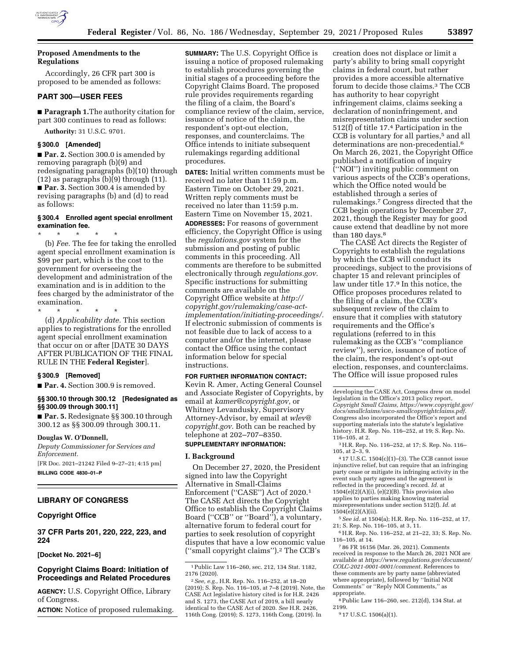

# **Proposed Amendments to the Regulations**

Accordingly, 26 CFR part 300 is proposed to be amended as follows:

# **PART 300—USER FEES**

■ **Paragraph 1.**The authority citation for part 300 continues to read as follows:

**Authority:** 31 U.S.C. 9701.

### **§ 300.0 [Amended]**

■ **Par. 2.** Section 300.0 is amended by removing paragraph (b)(9) and redesignating paragraphs (b)(10) through (12) as paragraphs (b)(9) through (11). ■ **Par. 3.** Section 300.4 is amended by revising paragraphs (b) and (d) to read as follows:

# **§ 300.4 Enrolled agent special enrollment examination fee.**

\* \* \* \* \* (b) *Fee.* The fee for taking the enrolled agent special enrollment examination is \$99 per part, which is the cost to the government for overseeing the development and administration of the examination and is in addition to the fees charged by the administrator of the examination.

\* \* \* \* \*

(d) *Applicability date.* This section applies to registrations for the enrolled agent special enrollment examination that occur on or after [DATE 30 DAYS AFTER PUBLICATION OF THE FINAL RULE IN THE **Federal Register**].

#### **§ 300.9 [Removed]**

■ **Par. 4.** Section 300.9 is removed.

### **§§ 300.10 through 300.12 [Redesignated as §§ 300.09 through 300.11]**

■ **Par. 5.** Redesignate §§ 300.10 through 300.12 as §§ 300.09 through 300.11.

#### **Douglas W. O'Donnell,**

*Deputy Commissioner for Services and Enforcement.* 

[FR Doc. 2021–21242 Filed 9–27–21; 4:15 pm] **BILLING CODE 4830–01–P** 

# **LIBRARY OF CONGRESS**

# **Copyright Office**

**37 CFR Parts 201, 220, 222, 223, and 224** 

**[Docket No. 2021–6]** 

# **Copyright Claims Board: Initiation of Proceedings and Related Procedures**

**AGENCY:** U.S. Copyright Office, Library of Congress.

**ACTION:** Notice of proposed rulemaking.

**SUMMARY:** The U.S. Copyright Office is issuing a notice of proposed rulemaking to establish procedures governing the initial stages of a proceeding before the Copyright Claims Board. The proposed rule provides requirements regarding the filing of a claim, the Board's compliance review of the claim, service, issuance of notice of the claim, the respondent's opt-out election, responses, and counterclaims. The Office intends to initiate subsequent rulemakings regarding additional procedures.

**DATES:** Initial written comments must be received no later than 11:59 p.m. Eastern Time on October 29, 2021. Written reply comments must be received no later than 11:59 p.m. Eastern Time on November 15, 2021. **ADDRESSES:** For reasons of government efficiency, the Copyright Office is using the *regulations.gov* system for the submission and posting of public comments in this proceeding. All comments are therefore to be submitted electronically through *regulations.gov.*  Specific instructions for submitting comments are available on the Copyright Office website at *[http://](http://copyright.gov/rulemaking/case-act-implementation/initiating-proceedings/) [copyright.gov/rulemaking/case-act](http://copyright.gov/rulemaking/case-act-implementation/initiating-proceedings/)[implementation/initiating-proceedings/.](http://copyright.gov/rulemaking/case-act-implementation/initiating-proceedings/)*  If electronic submission of comments is not feasible due to lack of access to a computer and/or the internet, please contact the Office using the contact information below for special instructions.

### **FOR FURTHER INFORMATION CONTACT:**

Kevin R. Amer, Acting General Counsel and Associate Register of Copyrights, by email at *[kamer@copyright.gov,](mailto:kamer@copyright.gov)* or Whitney Levandusky, Supervisory Attorney-Advisor, by email at *[wlev@](mailto:wlev@copyright.gov) [copyright.gov.](mailto:wlev@copyright.gov)* Both can be reached by telephone at 202–707–8350.

# **SUPPLEMENTARY INFORMATION:**

### **I. Background**

On December 27, 2020, the President signed into law the Copyright Alternative in Small-Claims Enforcement (''CASE'') Act of 2020.1 The CASE Act directs the Copyright Office to establish the Copyright Claims Board (''CCB'' or ''Board''), a voluntary, alternative forum to federal court for parties to seek resolution of copyright disputes that have a low economic value (''small copyright claims'').2 The CCB's

creation does not displace or limit a party's ability to bring small copyright claims in federal court, but rather provides a more accessible alternative forum to decide those claims.3 The CCB has authority to hear copyright infringement claims, claims seeking a declaration of noninfringement, and misrepresentation claims under section 512(f) of title 17.4 Participation in the CCB is voluntary for all parties,<sup>5</sup> and all determinations are non-precedential.6 On March 26, 2021, the Copyright Office published a notification of inquiry (''NOI'') inviting public comment on various aspects of the CCB's operations, which the Office noted would be established through a series of rulemakings.7 Congress directed that the CCB begin operations by December 27, 2021, though the Register may for good cause extend that deadline by not more than 180 days.<sup>8</sup>

The CASE Act directs the Register of Copyrights to establish the regulations by which the CCB will conduct its proceedings, subject to the provisions of chapter 15 and relevant principles of law under title 17.9 In this notice, the Office proposes procedures related to the filing of a claim, the CCB's subsequent review of the claim to ensure that it complies with statutory requirements and the Office's regulations (referred to in this rulemaking as the CCB's ''compliance review''), service, issuance of notice of the claim, the respondent's opt-out election, responses, and counterclaims. The Office will issue proposed rules

4 17 U.S.C. 1504(c)(1)–(3). The CCB cannot issue injunctive relief, but can require that an infringing party cease or mitigate its infringing activity in the event such party agrees and the agreement is reflected in the proceeding's record. *Id.* at  $1504(e)(2)(A)(i)$ ,  $(e)(2)(B)$ . This provision also applies to parties making knowing material misrepresentations under section 512(f). *Id.* at 1504(e)(2)(A)(ii).

5*See id.* at 1504(a); H.R. Rep. No. 116–252, at 17, 21; S. Rep. No. 116–105, at 3, 11.

6H.R. Rep. No. 116–252, at 21–22, 33; S. Rep. No. 116–105, at 14.

7 86 FR 16156 (Mar. 26, 2021). Comments received in response to the March 26, 2021 NOI are available at *[https://www.regulations.gov/document/](https://www.regulations.gov/document/COLC-2021-0001-0001/comment)  [COLC-2021-0001-0001/comment.](https://www.regulations.gov/document/COLC-2021-0001-0001/comment)* References to these comments are by party name (abbreviated where appropriate), followed by ''Initial NOI Comments'' or ''Reply NOI Comments,'' as appropriate.

8Public Law 116–260, sec. 212(d), 134 Stat. at 2199.

9 17 U.S.C. 1506(a)(1).

<sup>1</sup>Public Law 116–260, sec. 212, 134 Stat. 1182, 2176 (2020).

<sup>2</sup>*See, e.g.,* H.R. Rep. No. 116–252, at 18–20 (2019); S. Rep. No. 116–105, at 7–8 (2019). Note, the CASE Act legislative history cited is for H.R. 2426 and S. 1273, the CASE Act of 2019, a bill nearly identical to the CASE Act of 2020. *See* H.R. 2426, 116th Cong. (2019); S. 1273, 116th Cong. (2019). In

developing the CASE Act, Congress drew on model legislation in the Office's 2013 policy report, *Copyright Small Claims, [https://www.copyright.gov/](https://www.copyright.gov/docs/smallclaims/usco-smallcopyrightclaims.pdf)  [docs/smallclaims/usco-smallcopyrightclaims.pdf.](https://www.copyright.gov/docs/smallclaims/usco-smallcopyrightclaims.pdf)*  Congress also incorporated the Office's report and supporting materials into the statute's legislative history. H.R. Rep. No. 116–252, at 19; S. Rep. No. 116–105, at 2.

<sup>3</sup>H.R. Rep. No. 116–252, at 17; S. Rep. No. 116– 105, at 2–3, 9.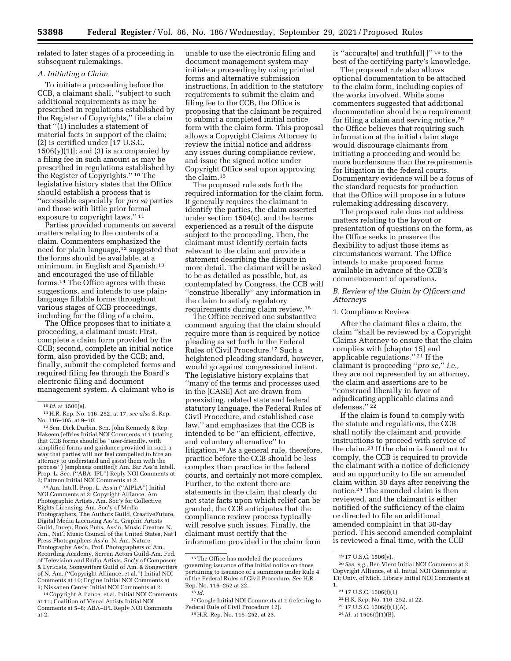related to later stages of a proceeding in subsequent rulemakings.

### *A. Initiating a Claim*

To initiate a proceeding before the CCB, a claimant shall, ''subject to such additional requirements as may be prescribed in regulations established by the Register of Copyrights,'' file a claim that ''(1) includes a statement of material facts in support of the claim; (2) is certified under [17 U.S.C.  $1506(y)(1)$ ; and  $(3)$  is accompanied by a filing fee in such amount as may be prescribed in regulations established by the Register of Copyrights.'' 10 The legislative history states that the Office should establish a process that is ''accessible especially for *pro se* parties and those with little prior formal exposure to copyright laws.'' 11

Parties provided comments on several matters relating to the contents of a claim. Commenters emphasized the need for plain language,12 suggested that the forms should be available, at a minimum, in English and Spanish,<sup>13</sup> and encouraged the use of fillable forms.14 The Office agrees with these suggestions, and intends to use plainlanguage fillable forms throughout various stages of CCB proceedings, including for the filing of a claim.

The Office proposes that to initiate a proceeding, a claimant must: First, complete a claim form provided by the CCB; second, complete an initial notice form, also provided by the CCB; and, finally, submit the completed forms and required filing fee through the Board's electronic filing and document management system. A claimant who is

12Sen. Dick Durbin, Sen. John Kennedy & Rep. Hakeem Jeffries Initial NOI Comments at 1 (stating that CCB forms should be ''user-friendly, with simplified forms and guidance provided in such a way that parties will not feel compelled to hire an attorney to understand and assist them with the process'') (emphasis omitted); Am. Bar Ass'n Intell. Prop. L. Sec. (''ABA–IPL'') Reply NOI Comments at 2; Patreon Initial NOI Comments at 2.

13Am. Intell. Prop. L. Ass'n (''AIPLA'') Initial NOI Comments at 2; Copyright Alliance, Am. Photographic Artists, Am. Soc'y for Collective Rights Licensing, Am. Soc'y of Media Photographers, The Authors Guild, CreativeFuture, Digital Media Licensing Ass'n, Graphic Artists Guild, Indep. Book Pubs. Ass'n, Music Creators N. Am., Nat'l Music Council of the United States, Nat'l Press Photographers Ass'n, N. Am. Nature Photography Ass'n, Prof. Photographers of Am., Recording Academy, Screen Actors Guild-Am. Fed. of Television and Radio Artists, Soc'y of Composers & Lyricists, Songwriters Guild of Am. & Songwriters of N. Am. (''Copyright Alliance, et al.'') Initial NOI Comments at 10; Engine Initial NOI Comments at 3; Niskanen Center Initial NOI Comments at 2.

14Copyright Alliance, et al. Initial NOI Comments at 11; Coalition of Visual Artists Initial NOI Comments at 5–8; ABA–IPL Reply NOI Comments at 2.

unable to use the electronic filing and document management system may initiate a proceeding by using printed forms and alternative submission instructions. In addition to the statutory requirements to submit the claim and filing fee to the CCB, the Office is proposing that the claimant be required to submit a completed initial notice form with the claim form. This proposal allows a Copyright Claims Attorney to review the initial notice and address any issues during compliance review, and issue the signed notice under Copyright Office seal upon approving the claim.15

The proposed rule sets forth the required information for the claim form. It generally requires the claimant to identify the parties, the claim asserted under section 1504(c), and the harms experienced as a result of the dispute subject to the proceeding. Then, the claimant must identify certain facts relevant to the claim and provide a statement describing the dispute in more detail. The claimant will be asked to be as detailed as possible, but, as contemplated by Congress, the CCB will ''construe liberally'' any information in the claim to satisfy regulatory requirements during claim review.16

The Office received one substantive comment arguing that the claim should require more than is required by notice pleading as set forth in the Federal Rules of Civil Procedure.17 Such a heightened pleading standard, however, would go against congressional intent. The legislative history explains that ''many of the terms and processes used in the [CASE] Act are drawn from preexisting, related state and federal statutory language, the Federal Rules of Civil Procedure, and established case law,'' and emphasizes that the CCB is intended to be ''an efficient, effective, and voluntary alternative'' to litigation.<sup>18</sup> As a general rule, therefore, practice before the CCB should be less complex than practice in the federal courts, and certainly not more complex. Further, to the extent there are statements in the claim that clearly do not state facts upon which relief can be granted, the CCB anticipates that the compliance review process typically will resolve such issues. Finally, the claimant must certify that the information provided in the claim form

17 Google Initial NOI Comments at 1 (referring to Federal Rule of Civil Procedure 12).

18H.R. Rep. No. 116–252, at 23.

is ''accura[te] and truthful[ ]'' 19 to the best of the certifying party's knowledge.

The proposed rule also allows optional documentation to be attached to the claim form, including copies of the works involved. While some commenters suggested that additional documentation should be a requirement for filing a claim and serving notice,20 the Office believes that requiring such information at the initial claim stage would discourage claimants from initiating a proceeding and would be more burdensome than the requirements for litigation in the federal courts. Documentary evidence will be a focus of the standard requests for production that the Office will propose in a future rulemaking addressing discovery.

The proposed rule does not address matters relating to the layout or presentation of questions on the form, as the Office seeks to preserve the flexibility to adjust those items as circumstances warrant. The Office intends to make proposed forms available in advance of the CCB's commencement of operations.

*B. Review of the Claim by Officers and Attorneys* 

### 1. Compliance Review

After the claimant files a claim, the claim ''shall be reviewed by a Copyright Claims Attorney to ensure that the claim complies with [chapter 15] and applicable regulations.'' 21 If the claimant is proceeding ''*pro se,*'' *i.e.,*  they are not represented by an attorney, the claim and assertions are to be ''construed liberally in favor of adjudicating applicable claims and defenses.'' 22

If the claim is found to comply with the statute and regulations, the CCB shall notify the claimant and provide instructions to proceed with service of the claim.23 If the claim is found not to comply, the CCB is required to provide the claimant with a notice of deficiency and an opportunity to file an amended claim within 30 days after receiving the notice.24 The amended claim is then reviewed, and the claimant is either notified of the sufficiency of the claim or directed to file an additional amended complaint in that 30-day period. This second amended complaint is reviewed a final time, with the CCB

<sup>10</sup> *Id.* at 1506(e).

<sup>11</sup>H.R. Rep. No. 116–252, at 17; *see also* S. Rep. No. 116–105, at 9–10.

<sup>15</sup>The Office has modeled the procedures governing issuance of the initial notice on those pertaining to issuance of a summons under Rule 4 of the Federal Rules of Civil Procedure. *See* H.R. Rep. No. 116–252 at 22.

 $^{16}$  *Id.* 

<sup>19</sup> 17 U.S.C. 1506(y).

<sup>20</sup>*See, e.g.,* Ben Vient Initial NOI Comments at 2; Copyright Alliance, et al. Initial NOI Comments at 13; Univ. of Mich. Library Initial NOI Comments at 1.

<sup>21</sup> 17 U.S.C. 1506(f)(1).

<sup>22</sup>H.R. Rep. No. 116–252, at 22.

<sup>23</sup> 17 U.S.C. 1506(f)(1)(A).

<sup>24</sup> *Id.* at 1506(f)(1)(B).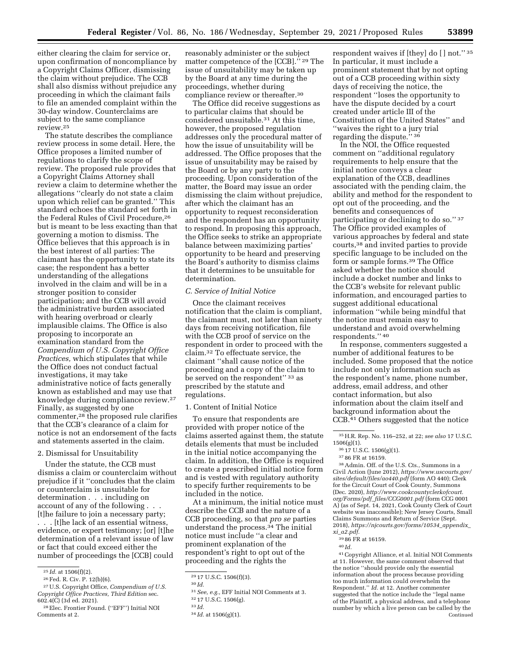either clearing the claim for service or, upon confirmation of noncompliance by a Copyright Claims Officer, dismissing the claim without prejudice. The CCB shall also dismiss without prejudice any proceeding in which the claimant fails to file an amended complaint within the 30-day window. Counterclaims are subject to the same compliance review.25

The statute describes the compliance review process in some detail. Here, the Office proposes a limited number of regulations to clarify the scope of review. The proposed rule provides that a Copyright Claims Attorney shall review a claim to determine whether the allegations ''clearly do not state a claim upon which relief can be granted.'' This standard echoes the standard set forth in the Federal Rules of Civil Procedure,26 but is meant to be less exacting than that governing a motion to dismiss. The Office believes that this approach is in the best interest of all parties: The claimant has the opportunity to state its case; the respondent has a better understanding of the allegations involved in the claim and will be in a stronger position to consider participation; and the CCB will avoid the administrative burden associated with hearing overbroad or clearly implausible claims. The Office is also proposing to incorporate an examination standard from the *Compendium of U.S. Copyright Office Practices,* which stipulates that while the Office does not conduct factual investigations, it may take administrative notice of facts generally known as established and may use that knowledge during compliance review.27 Finally, as suggested by one commenter,28 the proposed rule clarifies that the CCB's clearance of a claim for notice is not an endorsement of the facts and statements asserted in the claim.

### 2. Dismissal for Unsuitability

Under the statute, the CCB must dismiss a claim or counterclaim without prejudice if it ''concludes that the claim or counterclaim is unsuitable for determination . . . including on account of any of the following . . . [t]he failure to join a necessary party; . . . [t]he lack of an essential witness,

evidence, or expert testimony; [or] [t]he determination of a relevant issue of law or fact that could exceed either the number of proceedings the [CCB] could

reasonably administer or the subject matter competence of the [CCB].'' 29 The issue of unsuitability may be taken up by the Board at any time during the proceedings, whether during compliance review or thereafter.30

The Office did receive suggestions as to particular claims that should be considered unsuitable.31 At this time, however, the proposed regulation addresses only the procedural matter of how the issue of unsuitability will be addressed. The Office proposes that the issue of unsuitability may be raised by the Board or by any party to the proceeding. Upon consideration of the matter, the Board may issue an order dismissing the claim without prejudice, after which the claimant has an opportunity to request reconsideration and the respondent has an opportunity to respond. In proposing this approach, the Office seeks to strike an appropriate balance between maximizing parties' opportunity to be heard and preserving the Board's authority to dismiss claims that it determines to be unsuitable for determination.

### *C. Service of Initial Notice*

Once the claimant receives notification that the claim is compliant, the claimant must, not later than ninety days from receiving notification, file with the CCB proof of service on the respondent in order to proceed with the claim.32 To effectuate service, the claimant ''shall cause notice of the proceeding and a copy of the claim to be served on the respondent" 33 as prescribed by the statute and regulations.

### 1. Content of Initial Notice

To ensure that respondents are provided with proper notice of the claims asserted against them, the statute details elements that must be included in the initial notice accompanying the claim. In addition, the Office is required to create a prescribed initial notice form and is vested with regulatory authority to specify further requirements to be included in the notice.

At a minimum, the initial notice must describe the CCB and the nature of a CCB proceeding, so that *pro se* parties understand the process.34 The initial notice must include ''a clear and prominent explanation of the respondent's right to opt out of the proceeding and the rights the

respondent waives if [they] do [ ] not.'' 35 In particular, it must include a prominent statement that by not opting out of a CCB proceeding within sixty days of receiving the notice, the respondent ''loses the opportunity to have the dispute decided by a court created under article III of the Constitution of the United States'' and ''waives the right to a jury trial regarding the dispute.'' 36

In the NOI, the Office requested comment on ''additional regulatory requirements to help ensure that the initial notice conveys a clear explanation of the CCB, deadlines associated with the pending claim, the ability and method for the respondent to opt out of the proceeding, and the benefits and consequences of participating or declining to do so." 37 The Office provided examples of various approaches by federal and state courts,38 and invited parties to provide specific language to be included on the form or sample forms.39 The Office asked whether the notice should include a docket number and links to the CCB's website for relevant public information, and encouraged parties to suggest additional educational information ''while being mindful that the notice must remain easy to understand and avoid overwhelming respondents.'' 40

In response, commenters suggested a number of additional features to be included. Some proposed that the notice include not only information such as the respondent's name, phone number, address, email address, and other contact information, but also information about the claim itself and background information about the CCB.41 Others suggested that the notice

38Admin. Off. of the U.S. Cts., Summons in a Civil Action (June 2012), *[https://www.uscourts.gov/](https://www.uscourts.gov/sites/default/files/ao440.pdf) [sites/default/files/ao440.pdf](https://www.uscourts.gov/sites/default/files/ao440.pdf)* (form AO 440); Clerk for the Circuit Court of Cook County, Summons (Dec. 2020), *[http://www.cookcountyclerkofcourt.](http://www.cookcountyclerkofcourt.org/Forms/pdf_files/CCG0001.pdf) org/Forms/pdf*\_*[files/CCG0001.pdf](http://www.cookcountyclerkofcourt.org/Forms/pdf_files/CCG0001.pdf)* (form CCG 0001 A) (as of Sept. 14, 2021, Cook County Clerk of Court website was inaccessible); New Jersey Courts, Small Claims Summons and Return of Service (Sept. 2018), *[https://njcourts.gov/forms/10534](https://njcourts.gov/forms/10534_appendix_xi_a2.pdf)*\_*appendix*\_ *xi*\_*[a2.pdf.](https://njcourts.gov/forms/10534_appendix_xi_a2.pdf)* 

41Copyright Alliance, et al. Initial NOI Comments at 11. However, the same comment observed that the notice ''should provide only the essential information about the process because providing too much information could overwhelm the Respondent.'' *Id.* at 12. Another commenter suggested that the notice include the ''legal name of the Plaintiff, a physical address, and a telephone number by which a live person can be called by the Continued

<sup>25</sup> *Id.* at 1506(f)(2).

<sup>26</sup>Fed. R. Civ. P. 12(b)(6).

<sup>27</sup>U.S. Copyright Office, *Compendium of U.S. Copyright Office Practices, Third Edition* sec. 602.4(C) (3d ed. 2021).

<sup>28</sup>Elec. Frontier Found. (''EFF'') Initial NOI Comments at 2.

<sup>29</sup> 17 U.S.C. 1506(f)(3).

<sup>30</sup> *Id.* 

<sup>31</sup>*See, e.g.,* EFF Initial NOI Comments at 3.

<sup>32</sup> 17 U.S.C. 1506(g).

<sup>33</sup> *Id.* 

<sup>34</sup> *Id.* at 1506(g)(1).

<sup>35</sup>H.R. Rep. No. 116–252, at 22; *see also* 17 U.S.C. 1506(g)(1).

<sup>36</sup> 17 U.S.C. 1506(g)(1).

<sup>37</sup> 86 FR at 16159.

<sup>39</sup> 86 FR at 16159.

<sup>40</sup> *Id.*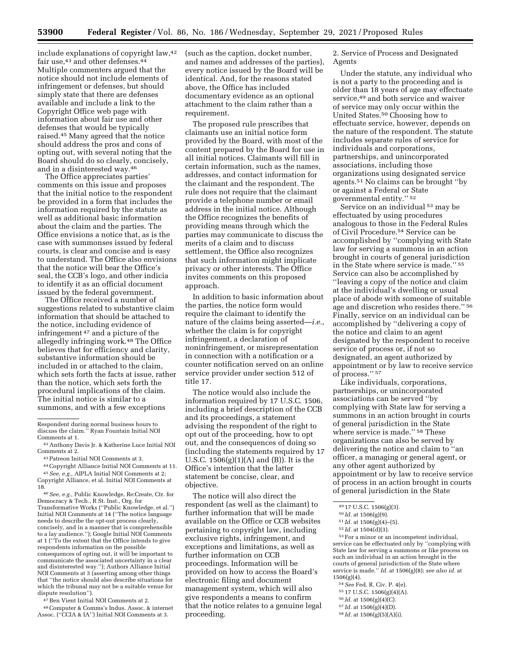include explanations of copyright law,42 fair use,<sup>43</sup> and other defenses.<sup>44</sup> Multiple commenters argued that the notice should not include elements of infringement or defenses, but should simply state that there are defenses available and include a link to the Copyright Office web page with information about fair use and other defenses that would be typically raised.45 Many agreed that the notice should address the pros and cons of opting out, with several noting that the Board should do so clearly, concisely, and in a disinterested way.46

The Office appreciates parties' comments on this issue and proposes that the initial notice to the respondent be provided in a form that includes the information required by the statute as well as additional basic information about the claim and the parties. The Office envisions a notice that, as is the case with summonses issued by federal courts, is clear and concise and is easy to understand. The Office also envisions that the notice will bear the Office's seal, the CCB's logo, and other indicia to identify it as an official document issued by the federal government.

The Office received a number of suggestions related to substantive claim information that should be attached to the notice, including evidence of infringement 47 and a picture of the allegedly infringing work.48 The Office believes that for efficiency and clarity, substantive information should be included in or attached to the claim, which sets forth the facts at issue, rather than the notice, which sets forth the procedural implications of the claim. The initial notice is similar to a summons, and with a few exceptions

44Copyright Alliance Initial NOI Comments at 11. 45*See, e.g.,* AIPLA Initial NOI Comments at 2; Copyright Alliance, et al. Initial NOI Comments at

18. 46*See, e.g.,* Public Knowledge, Re:Create, Ctr. for Democracy & Tech., R St. Inst., Org. for Transformative Works (''Public Knowledge, et al.'') Initial NOI Comments at 14 (''The notice language needs to describe the opt-out process clearly, concisely, and in a manner that is comprehensible to a lay audience.''); Google Initial NOI Comments at 1 (''To the extent that the Office intends to give respondents information on the possible consequences of opting out, it will be important to communicate the associated uncertainty in a clear and disinterested way.''); Authors Alliance Initial NOI Comments at 3 (asserting among other things that ''the notice should also describe situations for which the tribunal may not be a suitable venue for dispute resolution'').

47Ben Vient Initial NOI Comments at 2.

48Computer & Comms's Indus. Assoc. & internet Assoc. (''CCIA & IA'') Initial NOI Comments at 3.

(such as the caption, docket number, and names and addresses of the parties), every notice issued by the Board will be identical. And, for the reasons stated above, the Office has included documentary evidence as an optional attachment to the claim rather than a requirement.

The proposed rule prescribes that claimants use an initial notice form provided by the Board, with most of the content prepared by the Board for use in all initial notices. Claimants will fill in certain information, such as the names, addresses, and contact information for the claimant and the respondent. The rule does not require that the claimant provide a telephone number or email address in the initial notice. Although the Office recognizes the benefits of providing means through which the parties may communicate to discuss the merits of a claim and to discuss settlement, the Office also recognizes that such information might implicate privacy or other interests. The Office invites comments on this proposed approach.

In addition to basic information about the parties, the notice form would require the claimant to identify the nature of the claims being asserted—*i.e.,*  whether the claim is for copyright infringement, a declaration of noninfringement, or misrepresentation in connection with a notification or a counter notification served on an online service provider under section 512 of title 17.

The notice would also include the information required by 17 U.S.C. 1506, including a brief description of the CCB and its proceedings, a statement advising the respondent of the right to opt out of the proceeding, how to opt out, and the consequences of doing so (including the statements required by 17 U.S.C. 1506(g)(1)(A) and (B)). It is the Office's intention that the latter statement be concise, clear, and objective.

The notice will also direct the respondent (as well as the claimant) to further information that will be made available on the Office or CCB websites pertaining to copyright law, including exclusive rights, infringement, and exceptions and limitations, as well as further information on CCB proceedings. Information will be provided on how to access the Board's electronic filing and document management system, which will also give respondents a means to confirm that the notice relates to a genuine legal proceeding.

2. Service of Process and Designated Agents

Under the statute, any individual who is not a party to the proceeding and is older than 18 years of age may effectuate service,49 and both service and waiver of service may only occur within the United States.50 Choosing how to effectuate service, however, depends on the nature of the respondent. The statute includes separate rules of service for individuals and corporations, partnerships, and unincorporated associations, including those organizations using designated service agents.51 No claims can be brought ''by or against a Federal or State governmental entity.'' 52

Service on an individual 53 may be effectuated by using procedures analogous to those in the Federal Rules of Civil Procedure.54 Service can be accomplished by ''complying with State law for serving a summons in an action brought in courts of general jurisdiction in the State where service is made.'' 55 Service can also be accomplished by ''leaving a copy of the notice and claim at the individual's dwelling or usual place of abode with someone of suitable age and discretion who resides there.'' 56 Finally, service on an individual can be accomplished by ''delivering a copy of the notice and claim to an agent designated by the respondent to receive service of process or, if not so designated, an agent authorized by appointment or by law to receive service of process.'' 57

Like individuals, corporations, partnerships, or unincorporated associations can be served ''by complying with State law for serving a summons in an action brought in courts of general jurisdiction in the State where service is made.'' 58 These organizations can also be served by delivering the notice and claim to ''an officer, a managing or general agent, or any other agent authorized by appointment or by law to receive service of process in an action brought in courts of general jurisdiction in the State

52 *Id.* at 1504(d)(3).

53For a minor or an incompetent individual, service can be effectuated only by ''complying with State law for serving a summons or like process on such an individual in an action brought in the courts of general jurisdiction of the State where service is made.'' *Id.* at 1506(g)(8); *see also id.* at 1506(g)(4).

- 54*See* Fed. R. Civ. P. 4(e).
- 55 17 U.S.C. 1506(g)(4)(A).
- 56 *Id.* at 1506(g)(4)(C).

Respondent during normal business hours to discuss the claim.'' Ryan Fountain Initial NOI Comments at 1.

<sup>42</sup>Anthony Davis Jr. & Katherine Luce Initial NOI Comments at 2.

<sup>43</sup>Patreon Initial NOI Comments at 3.

<sup>49</sup> 17 U.S.C. 1506(g)(3).

<sup>50</sup> *Id.* at 1506(g)(9).

<sup>51</sup> *Id.* at 1506(g)(4)–(5).

<sup>57</sup> *Id.* at 1506(g)(4)(D).

<sup>58</sup> *Id.* at 1506(g)(5)(A)(i).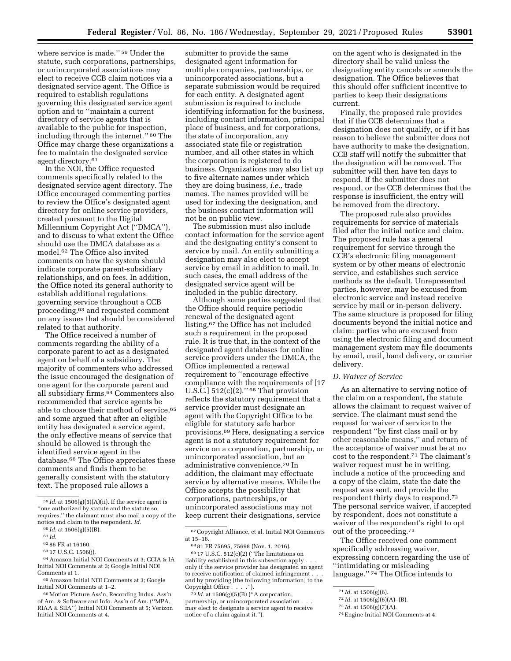where service is made."<sup>59</sup> Under the statute, such corporations, partnerships, or unincorporated associations may elect to receive CCB claim notices via a designated service agent. The Office is required to establish regulations governing this designated service agent option and to ''maintain a current directory of service agents that is available to the public for inspection, including through the internet.'' 60 The Office may charge these organizations a fee to maintain the designated service agent directory.61

In the NOI, the Office requested comments specifically related to the designated service agent directory. The Office encouraged commenting parties to review the Office's designated agent directory for online service providers, created pursuant to the Digital Millennium Copyright Act (''DMCA''), and to discuss to what extent the Office should use the DMCA database as a model.62 The Office also invited comments on how the system should indicate corporate parent-subsidiary relationships, and on fees. In addition, the Office noted its general authority to establish additional regulations governing service throughout a CCB proceeding,63 and requested comment on any issues that should be considered related to that authority.

The Office received a number of comments regarding the ability of a corporate parent to act as a designated agent on behalf of a subsidiary. The majority of commenters who addressed the issue encouraged the designation of one agent for the corporate parent and all subsidiary firms.64 Commenters also recommended that service agents be able to choose their method of service,<sup>65</sup> and some argued that after an eligible entity has designated a service agent, the only effective means of service that should be allowed is through the identified service agent in the database.66 The Office appreciates these comments and finds them to be generally consistent with the statutory text. The proposed rule allows a

submitter to provide the same designated agent information for multiple companies, partnerships, or unincorporated associations, but a separate submission would be required for each entity. A designated agent submission is required to include identifying information for the business, including contact information, principal place of business, and for corporations, the state of incorporation, any associated state file or registration number, and all other states in which the corporation is registered to do business. Organizations may also list up to five alternate names under which they are doing business, *i.e.,* trade names. The names provided will be used for indexing the designation, and the business contact information will not be on public view.

The submission must also include contact information for the service agent and the designating entity's consent to service by mail. An entity submitting a designation may also elect to accept service by email in addition to mail. In such cases, the email address of the designated service agent will be included in the public directory.

Although some parties suggested that the Office should require periodic renewal of the designated agent listing,67 the Office has not included such a requirement in the proposed rule. It is true that, in the context of the designated agent databases for online service providers under the DMCA, the Office implemented a renewal requirement to ''encourage effective compliance with the requirements of [17 U.S.C.]  $512(c)(2)$ ." <sup>68</sup> That provision reflects the statutory requirement that a service provider must designate an agent with the Copyright Office to be eligible for statutory safe harbor provisions.69 Here, designating a service agent is not a statutory requirement for service on a corporation, partnership, or unincorporated association, but an administrative convenience.70 In addition, the claimant may effectuate service by alternative means. While the Office accepts the possibility that corporations, partnerships, or unincorporated associations may not keep current their designations, service

on the agent who is designated in the directory shall be valid unless the designating entity cancels or amends the designation. The Office believes that this should offer sufficient incentive to parties to keep their designations current.

Finally, the proposed rule provides that if the CCB determines that a designation does not qualify, or if it has reason to believe the submitter does not have authority to make the designation, CCB staff will notify the submitter that the designation will be removed. The submitter will then have ten days to respond. If the submitter does not respond, or the CCB determines that the response is insufficient, the entry will be removed from the directory.

The proposed rule also provides requirements for service of materials filed after the initial notice and claim. The proposed rule has a general requirement for service through the CCB's electronic filing management system or by other means of electronic service, and establishes such service methods as the default. Unrepresented parties, however, may be excused from electronic service and instead receive service by mail or in-person delivery. The same structure is proposed for filing documents beyond the initial notice and claim: parties who are excused from using the electronic filing and document management system may file documents by email, mail, hand delivery, or courier delivery.

# *D. Waiver of Service*

As an alternative to serving notice of the claim on a respondent, the statute allows the claimant to request waiver of service. The claimant must send the request for waiver of service to the respondent ''by first class mail or by other reasonable means,'' and return of the acceptance of waiver must be at no cost to the respondent.71 The claimant's waiver request must be in writing, include a notice of the proceeding and a copy of the claim, state the date the request was sent, and provide the respondent thirty days to respond.72 The personal service waiver, if accepted by respondent, does not constitute a waiver of the respondent's right to opt out of the proceeding.73

The Office received one comment specifically addressing waiver, expressing concern regarding the use of ''intimidating or misleading language."<sup>74</sup> The Office intends to

<sup>59</sup> *Id.* at 1506(g)(5)(A)(ii). If the service agent is ''one authorized by statute and the statute so requires,'' the claimant must also mail a copy of the notice and claim to the respondent. *Id.* 

<sup>60</sup> *Id.* at 1506(g)(5)(B).

<sup>61</sup> *Id.* 

<sup>62</sup> 86 FR at 16160.

<sup>63</sup> 17 U.S.C. 1506(j).

<sup>64</sup>Amazon Initial NOI Comments at 3; CCIA & IA Initial NOI Comments at 3; Google Initial NOI Comments at 1.

<sup>65</sup>Amazon Initial NOI Comments at 3; Google Initial NOI Comments at 1–2.

<sup>66</sup>Motion Picture Ass'n, Recording Indus. Ass'n of Am. & Software and Info. Ass'n of Am. (''MPA, RIAA & SIIA'') Initial NOI Comments at 5; Verizon Initial NOI Comments at 4.

<sup>67</sup>Copyright Alliance, et al. Initial NOI Comments at 15–16.

<sup>68</sup> 81 FR 75695, 75698 (Nov. 1, 2016).

 $6917$  U.S.C.  $512(c)(2)$  ("The limitations on liability established in this subsection apply . . . only if the service provider has designated an agent to receive notification of claimed infringement . . . and by providing [the following information] to the Copyright Office . . . .'').

<sup>70</sup> *Id.* at 1506(g)(5)(B) (''A corporation, partnership, or unincorporated association . . . may elect to designate a service agent to receive notice of a claim against it.'').

<sup>71</sup> *Id.* at 1506(g)(6).

<sup>72</sup> *Id.* at 1506(g)(6)(A)–(B).

<sup>73</sup> *Id.* at 1506(g)(7)(A).

<sup>74</sup>Engine Initial NOI Comments at 4.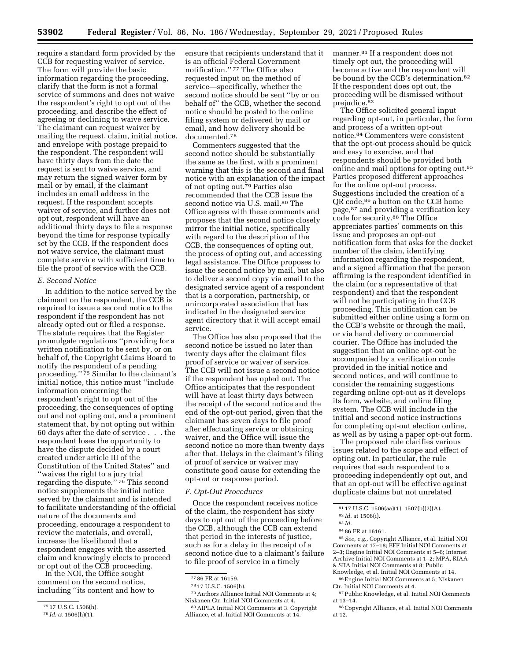require a standard form provided by the CCB for requesting waiver of service. The form will provide the basic information regarding the proceeding, clarify that the form is not a formal service of summons and does not waive the respondent's right to opt out of the proceeding, and describe the effect of agreeing or declining to waive service. The claimant can request waiver by mailing the request, claim, initial notice, and envelope with postage prepaid to the respondent. The respondent will have thirty days from the date the request is sent to waive service, and may return the signed waiver form by mail or by email, if the claimant includes an email address in the request. If the respondent accepts waiver of service, and further does not opt out, respondent will have an additional thirty days to file a response beyond the time for response typically set by the CCB. If the respondent does not waive service, the claimant must complete service with sufficient time to file the proof of service with the CCB.

### *E. Second Notice*

In addition to the notice served by the claimant on the respondent, the CCB is required to issue a second notice to the respondent if the respondent has not already opted out or filed a response. The statute requires that the Register promulgate regulations ''providing for a written notification to be sent by, or on behalf of, the Copyright Claims Board to notify the respondent of a pending proceeding."<sup>75</sup> Similar to the claimant's initial notice, this notice must ''include information concerning the respondent's right to opt out of the proceeding, the consequences of opting out and not opting out, and a prominent statement that, by not opting out within 60 days after the date of service . . . the respondent loses the opportunity to have the dispute decided by a court created under article III of the Constitution of the United States'' and ''waives the right to a jury trial regarding the dispute.'' 76 This second notice supplements the initial notice served by the claimant and is intended to facilitate understanding of the official nature of the documents and proceeding, encourage a respondent to review the materials, and overall, increase the likelihood that a respondent engages with the asserted claim and knowingly elects to proceed or opt out of the CCB proceeding.

In the NOI, the Office sought comment on the second notice, including ''its content and how to ensure that recipients understand that it is an official Federal Government notification.'' 77 The Office also requested input on the method of service—specifically, whether the second notice should be sent ''by or on behalf of'' the CCB, whether the second notice should be posted to the online filing system or delivered by mail or email, and how delivery should be documented.78

Commenters suggested that the second notice should be substantially the same as the first, with a prominent warning that this is the second and final notice with an explanation of the impact of not opting out.79 Parties also recommended that the CCB issue the second notice via U.S. mail.<sup>80</sup> The Office agrees with these comments and proposes that the second notice closely mirror the initial notice, specifically with regard to the description of the CCB, the consequences of opting out, the process of opting out, and accessing legal assistance. The Office proposes to issue the second notice by mail, but also to deliver a second copy via email to the designated service agent of a respondent that is a corporation, partnership, or unincorporated association that has indicated in the designated service agent directory that it will accept email service.

The Office has also proposed that the second notice be issued no later than twenty days after the claimant files proof of service or waiver of service. The CCB will not issue a second notice if the respondent has opted out. The Office anticipates that the respondent will have at least thirty days between the receipt of the second notice and the end of the opt-out period, given that the claimant has seven days to file proof after effectuating service or obtaining waiver, and the Office will issue the second notice no more than twenty days after that. Delays in the claimant's filing of proof of service or waiver may constitute good cause for extending the opt-out or response period.

### *F. Opt-Out Procedures*

Once the respondent receives notice of the claim, the respondent has sixty days to opt out of the proceeding before the CCB, although the CCB can extend that period in the interests of justice, such as for a delay in the receipt of a second notice due to a claimant's failure to file proof of service in a timely

79Authors Alliance Initial NOI Comments at 4; Niskanen Ctr. Initial NOI Comments at 4.

80AIPLA Initial NOI Comments at 3. Copyright Alliance, et al. Initial NOI Comments at 14.

manner.81 If a respondent does not timely opt out, the proceeding will become active and the respondent will be bound by the CCB's determination.82 If the respondent does opt out, the proceeding will be dismissed without prejudice.<sup>83</sup>

The Office solicited general input regarding opt-out, in particular, the form and process of a written opt-out notice.84 Commenters were consistent that the opt-out process should be quick and easy to exercise, and that respondents should be provided both online and mail options for opting out.85 Parties proposed different approaches for the online opt-out process. Suggestions included the creation of a QR code,86 a button on the CCB home page,87 and providing a verification key code for security.88 The Office appreciates parties' comments on this issue and proposes an opt-out notification form that asks for the docket number of the claim, identifying information regarding the respondent, and a signed affirmation that the person affirming is the respondent identified in the claim (or a representative of that respondent) and that the respondent will not be participating in the CCB proceeding. This notification can be submitted either online using a form on the CCB's website or through the mail, or via hand delivery or commercial courier. The Office has included the suggestion that an online opt-out be accompanied by a verification code provided in the initial notice and second notices, and will continue to consider the remaining suggestions regarding online opt-out as it develops its form, website, and online filing system. The CCB will include in the initial and second notice instructions for completing opt-out election online, as well as by using a paper opt-out form.

The proposed rule clarifies various issues related to the scope and effect of opting out. In particular, the rule requires that each respondent to a proceeding independently opt out, and that an opt-out will be effective against duplicate claims but not unrelated

84 86 FR at 16161.

85*See, e.g.,* Copyright Alliance, et al. Initial NOI Comments at 17–18; EFF Initial NOI Comments at 2–3; Engine Initial NOI Comments at 5–6; Internet Archive Initial NOI Comments at 1–2; MPA, RIAA & SIIA Initial NOI Comments at 8; Public Knowledge, et al. Initial NOI Comments at 14.

86Engine Initial NOI Comments at 5; Niskanen Ctr. Initial NOI Comments at 4.

87Public Knowledge, et al. Initial NOI Comments at 13–14.

<sup>75</sup> 17 U.S.C. 1506(h).

<sup>76</sup> *Id.* at 1506(h)(1).

<sup>77</sup> 86 FR at 16159.

<sup>78</sup> 17 U.S.C. 1506(h).

<sup>81</sup> 17 U.S.C. 1506(aa)(1), 1507(b)(2)(A).

<sup>82</sup> *Id.* at 1506(i).

<sup>83</sup> *Id.* 

<sup>88</sup>Copyright Alliance, et al. Initial NOI Comments at 12.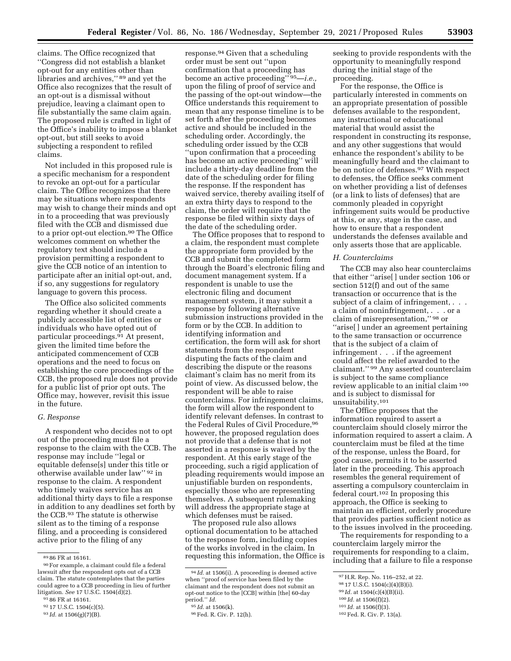claims. The Office recognized that ''Congress did not establish a blanket opt-out for any entities other than libraries and archives,'' 89 and yet the Office also recognizes that the result of an opt-out is a dismissal without prejudice, leaving a claimant open to file substantially the same claim again. The proposed rule is crafted in light of the Office's inability to impose a blanket opt-out, but still seeks to avoid subjecting a respondent to refiled claims.

Not included in this proposed rule is a specific mechanism for a respondent to revoke an opt-out for a particular claim. The Office recognizes that there may be situations where respondents may wish to change their minds and opt in to a proceeding that was previously filed with the CCB and dismissed due to a prior opt-out election.90 The Office welcomes comment on whether the regulatory text should include a provision permitting a respondent to give the CCB notice of an intention to participate after an initial opt-out, and, if so, any suggestions for regulatory language to govern this process.

The Office also solicited comments regarding whether it should create a publicly accessible list of entities or individuals who have opted out of particular proceedings.91 At present, given the limited time before the anticipated commencement of CCB operations and the need to focus on establishing the core proceedings of the CCB, the proposed rule does not provide for a public list of prior opt outs. The Office may, however, revisit this issue in the future.

### *G. Response*

A respondent who decides not to opt out of the proceeding must file a response to the claim with the CCB. The response may include ''legal or equitable defense[s] under this title or otherwise available under law'' 92 in response to the claim. A respondent who timely waives service has an additional thirty days to file a response in addition to any deadlines set forth by the CCB.93 The statute is otherwise silent as to the timing of a response filing, and a proceeding is considered active prior to the filing of any

response.94 Given that a scheduling order must be sent out ''upon confirmation that a proceeding has become an active proceeding'' 95—*i.e.,*  upon the filing of proof of service and the passing of the opt-out window—the Office understands this requirement to mean that any response timeline is to be set forth after the proceeding becomes active and should be included in the scheduling order. Accordingly, the scheduling order issued by the CCB ''upon confirmation that a proceeding has become an active proceeding'' will include a thirty-day deadline from the date of the scheduling order for filing the response. If the respondent has waived service, thereby availing itself of an extra thirty days to respond to the claim, the order will require that the response be filed within sixty days of the date of the scheduling order.

The Office proposes that to respond to a claim, the respondent must complete the appropriate form provided by the CCB and submit the completed form through the Board's electronic filing and document management system. If a respondent is unable to use the electronic filing and document management system, it may submit a response by following alternative submission instructions provided in the form or by the CCB. In addition to identifying information and certification, the form will ask for short statements from the respondent disputing the facts of the claim and describing the dispute or the reasons claimant's claim has no merit from its point of view. As discussed below, the respondent will be able to raise counterclaims. For infringement claims, the form will allow the respondent to identify relevant defenses. In contrast to the Federal Rules of Civil Procedure, 96 however, the proposed regulation does not provide that a defense that is not asserted in a response is waived by the respondent. At this early stage of the proceeding, such a rigid application of pleading requirements would impose an unjustifiable burden on respondents, especially those who are representing themselves. A subsequent rulemaking will address the appropriate stage at which defenses must be raised.

The proposed rule also allows optional documentation to be attached to the response form, including copies of the works involved in the claim. In requesting this information, the Office is seeking to provide respondents with the opportunity to meaningfully respond during the initial stage of the proceeding.

For the response, the Office is particularly interested in comments on an appropriate presentation of possible defenses available to the respondent, any instructional or educational material that would assist the respondent in constructing its response, and any other suggestions that would enhance the respondent's ability to be meaningfully heard and the claimant to be on notice of defenses.97 With respect to defenses, the Office seeks comment on whether providing a list of defenses (or a link to lists of defenses) that are commonly pleaded in copyright infringement suits would be productive at this, or any, stage in the case, and how to ensure that a respondent understands the defenses available and only asserts those that are applicable.

### *H. Counterclaims*

The CCB may also hear counterclaims that either ''arise[ ] under section 106 or section 512(f) and out of the same transaction or occurrence that is the subject of a claim of infringement, . . . a claim of noninfringement, . . . or a claim of misrepresentation,'' 98 or ''arise[ ] under an agreement pertaining to the same transaction or occurrence that is the subject of a claim of infringement . . . if the agreement could affect the relief awarded to the claimant.'' 99 Any asserted counterclaim is subject to the same compliance review applicable to an initial claim 100 and is subject to dismissal for unsuitability.101

The Office proposes that the information required to assert a counterclaim should closely mirror the information required to assert a claim. A counterclaim must be filed at the time of the response, unless the Board, for good cause, permits it to be asserted later in the proceeding. This approach resembles the general requirement of asserting a compulsory counterclaim in federal court.102 In proposing this approach, the Office is seeking to maintain an efficient, orderly procedure that provides parties sufficient notice as to the issues involved in the proceeding.

The requirements for responding to a counterclaim largely mirror the requirements for responding to a claim, including that a failure to file a response

<sup>89</sup> 86 FR at 16161.

<sup>90</sup>For example, a claimant could file a federal lawsuit after the respondent opts out of a CCB claim. The statute contemplates that the parties could agree to a CCB proceeding in lieu of further litigation. *See* 17 U.S.C. 1504(d)(2).

<sup>91</sup> 86 FR at 16161.

<sup>92</sup> 17 U.S.C. 1504(c)(5).

<sup>93</sup> *Id.* at 1506(g)(7)(B).

<sup>94</sup> *Id.* at 1506(i). A proceeding is deemed active when ''proof of service has been filed by the claimant and the respondent does not submit an opt-out notice to the [CCB] within [the] 60-day period.'' *Id.* 

<sup>95</sup> *Id.* at 1506(k).

<sup>96</sup>Fed. R. Civ. P. 12(h).

<sup>97</sup>H.R. Rep. No. 116–252, at 22.

<sup>98</sup> 17 U.S.C. 1504(c)(4)(B)(i).

<sup>99</sup> *Id.* at 1504(c)(4)(B)(ii).

<sup>100</sup> *Id.* at 1506(f)(2).

<sup>101</sup> *Id.* at 1506(f)(3).

<sup>102</sup>Fed. R. Civ. P. 13(a).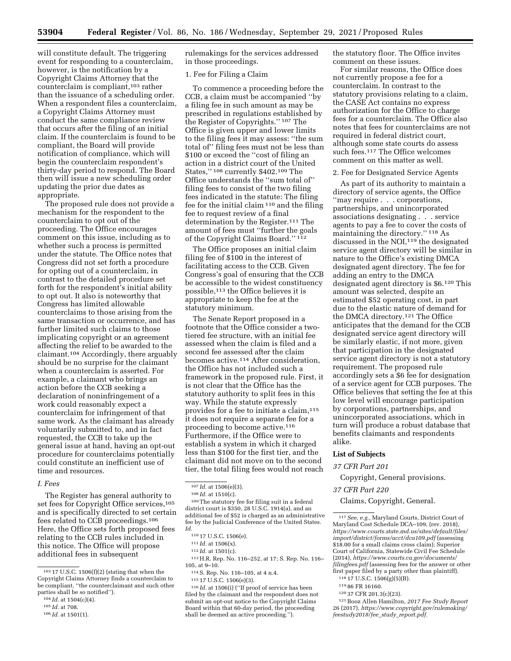will constitute default. The triggering event for responding to a counterclaim, however, is the notification by a Copyright Claims Attorney that the counterclaim is compliant,<sup>103</sup> rather than the issuance of a scheduling order. When a respondent files a counterclaim, a Copyright Claims Attorney must conduct the same compliance review that occurs after the filing of an initial claim. If the counterclaim is found to be compliant, the Board will provide notification of compliance, which will begin the counterclaim respondent's thirty-day period to respond. The Board then will issue a new scheduling order updating the prior due dates as appropriate.

The proposed rule does not provide a mechanism for the respondent to the counterclaim to opt out of the proceeding. The Office encourages comment on this issue, including as to whether such a process is permitted under the statute. The Office notes that Congress did not set forth a procedure for opting out of a counterclaim, in contrast to the detailed procedure set forth for the respondent's initial ability to opt out. It also is noteworthy that Congress has limited allowable counterclaims to those arising from the same transaction or occurrence, and has further limited such claims to those implicating copyright or an agreement affecting the relief to be awarded to the claimant.104 Accordingly, there arguably should be no surprise for the claimant when a counterclaim is asserted. For example, a claimant who brings an action before the CCB seeking a declaration of noninfringement of a work could reasonably expect a counterclaim for infringement of that same work. As the claimant has already voluntarily submitted to, and in fact requested, the CCB to take up the general issue at hand, having an opt-out procedure for counterclaims potentially could constitute an inefficient use of time and resources.

# *I. Fees*

The Register has general authority to set fees for Copyright Office services,<sup>105</sup> and is specifically directed to set certain fees related to CCB proceedings.106 Here, the Office sets forth proposed fees relating to the CCB rules included in this notice. The Office will propose additional fees in subsequent

rulemakings for the services addressed in those proceedings.

### 1. Fee for Filing a Claim

To commence a proceeding before the CCB, a claim must be accompanied ''by a filing fee in such amount as may be prescribed in regulations established by the Register of Copyrights.'' 107 The Office is given upper and lower limits to the filing fees it may assess: ''the sum total of'' filing fees must not be less than \$100 or exceed the ''cost of filing an action in a district court of the United States,'' 108 currently \$402.109 The Office understands the ''sum total of'' filing fees to consist of the two filing fees indicated in the statute: The filing fee for the initial claim 110 and the filing fee to request review of a final determination by the Register.111 The amount of fees must ''further the goals of the Copyright Claims Board.'' 112

The Office proposes an initial claim filing fee of \$100 in the interest of facilitating access to the CCB. Given Congress's goal of ensuring that the CCB be accessible to the widest constituency possible,113 the Office believes it is appropriate to keep the fee at the statutory minimum.

The Senate Report proposed in a footnote that the Office consider a twotiered fee structure, with an initial fee assessed when the claim is filed and a second fee assessed after the claim becomes active.114 After consideration, the Office has not included such a framework in the proposed rule. First, it is not clear that the Office has the statutory authority to split fees in this way. While the statute expressly provides for a fee to initiate a claim, 115 it does not require a separate fee for a proceeding to become active.116 Furthermore, if the Office were to establish a system in which it charged less than \$100 for the first tier, and the claimant did not move on to the second tier, the total filing fees would not reach

109The statutory fee for filing suit in a federal district court is \$350, 28 U.S.C. 1914(a), and an additional fee of \$52 is charged as an administrative fee by the Judicial Conference of the United States. *Id.* 

116 *Id.* at 1506(i) (''If proof of service has been filed by the claimant and the respondent does not submit an opt-out notice to the Copyright Claims Board within that 60-day period, the proceeding shall be deemed an active proceeding.'').

the statutory floor. The Office invites comment on these issues.

For similar reasons, the Office does not currently propose a fee for a counterclaim. In contrast to the statutory provisions relating to a claim, the CASE Act contains no express authorization for the Office to charge fees for a counterclaim. The Office also notes that fees for counterclaims are not required in federal district court, although some state courts do assess such fees.<sup>117</sup> The Office welcomes comment on this matter as well.

2. Fee for Designated Service Agents

As part of its authority to maintain a directory of service agents, the Office ''may require . . . corporations, partnerships, and unincorporated associations designating . . . service agents to pay a fee to cover the costs of maintaining the directory.'' 118 As discussed in the NOI,<sup>119</sup> the designated service agent directory will be similar in nature to the Office's existing DMCA designated agent directory. The fee for adding an entry to the DMCA designated agent directory is \$6.120 This amount was selected, despite an estimated \$52 operating cost, in part due to the elastic nature of demand for the DMCA directory.121 The Office anticipates that the demand for the CCB designated service agent directory will be similarly elastic, if not more, given that participation in the designated service agent directory is not a statutory requirement. The proposed rule accordingly sets a \$6 fee for designation of a service agent for CCB purposes. The Office believes that setting the fee at this low level will encourage participation by corporations, partnerships, and unincorporated associations, which in turn will produce a robust database that benefits claimants and respondents alike.

### **List of Subjects**

# *37 CFR Part 201*

Copyright, General provisions.

*37 CFR Part 220* 

Claims, Copyright, General.

117*See, e.g.,* Maryland Courts, District Court of Maryland Cost Schedule DCA–109, (rev. 2018), *[https://www.courts.state.md.us/sites/default/files/](https://www.courts.state.md.us/sites/default/files/import/district/forms/acct/dca109.pdf)  [import/district/forms/acct/dca109.pdf](https://www.courts.state.md.us/sites/default/files/import/district/forms/acct/dca109.pdf)* (assessing \$18.00 for a small claims cross claim); Superior Court of California, Statewide Civil Fee Schedule (2014), *[https://www.courts.ca.gov/documents/](https://www.courts.ca.gov/documents/filingfees.pdf)  [filingfees.pdf](https://www.courts.ca.gov/documents/filingfees.pdf)* (assessing fees for the answer or other first paper filed by a party other than plaintiff).

118 17 U.S.C. 1506(g)(5)(B).

- 119 86 FR 16160.
- 120 37 CFR 201.3(c)(23).

121Booz Allen Hamilton, *2017 Fee Study Report*  26 (2017), *[https://www.copyright.gov/rulemaking/](https://www.copyright.gov/rulemaking/feestudy2018/fee_study_report.pdf)  [feestudy2018/fee](https://www.copyright.gov/rulemaking/feestudy2018/fee_study_report.pdf)*\_*study*\_*report.pdf.* 

 $^{\rm 103}$  17 U.S.C. 1506(f)(2) (stating that when the Copyright Claims Attorney finds a counterclaim to be compliant, ''the counterclaimant and such other parties shall be so notified'').

<sup>104</sup> *Id.* at 1504(c)(4).

<sup>105</sup> *Id.* at 708.

<sup>106</sup> *Id.* at 1501(1).

<sup>107</sup> *Id.* at 1506(e)(3).

<sup>108</sup> *Id.* at 1510(c).

<sup>110</sup> 17 U.S.C. 1506(e).

<sup>111</sup> *Id.* at 1506(x).

<sup>112</sup> *Id.* at 1501(c).

<sup>113</sup>H.R. Rep. No. 116–252, at 17; S. Rep. No. 116– 105, at 9–10.

<sup>114</sup>S. Rep. No. 116–105, at 4 n.4.

<sup>115</sup> 17 U.S.C. 1506(e)(3).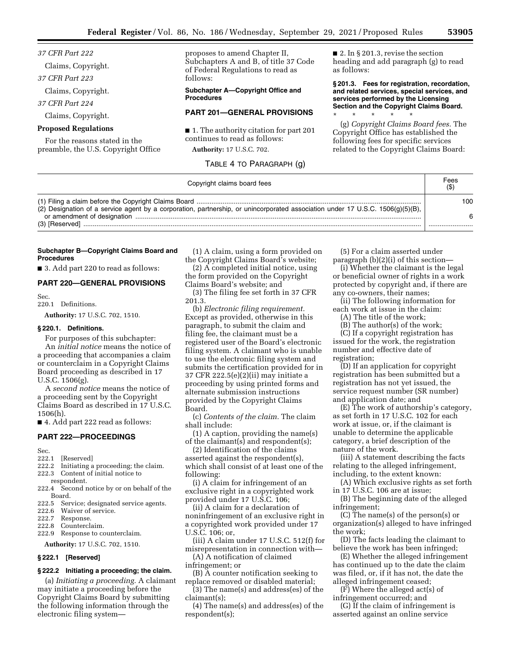*37 CFR Part 222* 

Claims, Copyright.

*37 CFR Part 223* 

Claims, Copyright.

*37 CFR Part 224* 

Claims, Copyright.

### **Proposed Regulations**

For the reasons stated in the preamble, the U.S. Copyright Office proposes to amend Chapter II, Subchapters A and B, of title 37 Code of Federal Regulations to read as follows:

**Subchapter A—Copyright Office and Procedures** 

# **PART 201—GENERAL PROVISIONS**

■ 1. The authority citation for part 201 continues to read as follows:

**Authority:** 17 U.S.C. 702.

### TABLE 4 TO PARAGRAPH (g)

 $\blacksquare$  2. In § 201.3, revise the section heading and add paragraph (g) to read as follows:

**§ 201.3. Fees for registration, recordation, and related services, special services, and services performed by the Licensing Section and the Copyright Claims Board.** 

\* \* \* \* \* (g) *Copyright Claims Board fees.* The Copyright Office has established the following fees for specific services related to the Copyright Claims Board:

| Copyright claims board fees                                                                                                    | Fees<br>(S) |
|--------------------------------------------------------------------------------------------------------------------------------|-------------|
| (2) Designation of a service agent by a corporation, partnership, or unincorporated association under 17 U.S.C. 1506(g)(5)(B), | 100         |
|                                                                                                                                | 6           |
|                                                                                                                                |             |

### **Subchapter B—Copyright Claims Board and Procedures**

■ 3. Add part 220 to read as follows:

### **PART 220—GENERAL PROVISIONS**

Sec.

# 220.1 Definitions.

**Authority:** 17 U.S.C. 702, 1510.

# **§ 220.1. Definitions.**

For purposes of this subchapter: An *initial notice* means the notice of a proceeding that accompanies a claim or counterclaim in a Copyright Claims Board proceeding as described in 17 U.S.C. 1506(g).

A *second notice* means the notice of a proceeding sent by the Copyright Claims Board as described in 17 U.S.C. 1506(h).

■ 4. Add part 222 read as follows:

### **PART 222—PROCEEDINGS**

- Sec.<br>222.1 [Reserved]
- 222.2 Initiating a proceeding; the claim.
- 222.3 Content of initial notice to respondent.
- 222.4 Second notice by or on behalf of the Board.
- 222.5 Service; designated service agents.
- 222.6 Waiver of service.
- 222.7 Response.
- 222.8 Counterclaim.
- 222.9 Response to counterclaim.

**Authority:** 17 U.S.C. 702, 1510.

### **§ 222.1 [Reserved]**

### **§ 222.2 Initiating a proceeding; the claim.**

(a) *Initiating a proceeding.* A claimant may initiate a proceeding before the Copyright Claims Board by submitting the following information through the electronic filing system—

(1) A claim, using a form provided on the Copyright Claims Board's website;

(2) A completed initial notice, using the form provided on the Copyright Claims Board's website; and

(3) The filing fee set forth in 37 CFR 201.3.

(b) *Electronic filing requirement.*  Except as provided, otherwise in this paragraph, to submit the claim and filing fee, the claimant must be a registered user of the Board's electronic filing system. A claimant who is unable to use the electronic filing system and submits the certification provided for in 37 CFR 222.5(e)(2)(ii) may initiate a proceeding by using printed forms and alternate submission instructions provided by the Copyright Claims Board.

(c) *Contents of the claim.* The claim shall include:

(1) A caption, providing the name(s) of the claimant(s) and respondent(s);

(2) Identification of the claims asserted against the respondent(s), which shall consist of at least one of the following:

(i) A claim for infringement of an exclusive right in a copyrighted work provided under 17 U.S.C. 106;

(ii) A claim for a declaration of noninfringement of an exclusive right in a copyrighted work provided under 17 U.S.C. 106; or,

(iii) A claim under 17 U.S.C. 512(f) for misrepresentation in connection with—

(A) A notification of claimed infringement; or

(B) A counter notification seeking to replace removed or disabled material;

(3) The name(s) and address(es) of the claimant(s);

(4) The name(s) and address(es) of the respondent(s);

(5) For a claim asserted under paragraph (b)(2)(i) of this section—

(i) Whether the claimant is the legal or beneficial owner of rights in a work protected by copyright and, if there are any co-owners, their names;

(ii) The following information for each work at issue in the claim:

(A) The title of the work;

(B) The author(s) of the work;

(C) If a copyright registration has issued for the work, the registration number and effective date of registration;

(D) If an application for copyright registration has been submitted but a registration has not yet issued, the service request number (SR number) and application date; and

(E) The work of authorship's category, as set forth in 17 U.S.C. 102 for each work at issue, or, if the claimant is unable to determine the applicable category, a brief description of the nature of the work.

(iii) A statement describing the facts relating to the alleged infringement, including, to the extent known:

(A) Which exclusive rights as set forth in 17 U.S.C. 106 are at issue;

(B) The beginning date of the alleged infringement;

(C) The name(s) of the person(s) or organization(s) alleged to have infringed the work;

(D) The facts leading the claimant to believe the work has been infringed;

(E) Whether the alleged infringement has continued up to the date the claim was filed, or, if it has not, the date the alleged infringement ceased;

(F) Where the alleged act(s) of infringement occurred; and

(G) If the claim of infringement is asserted against an online service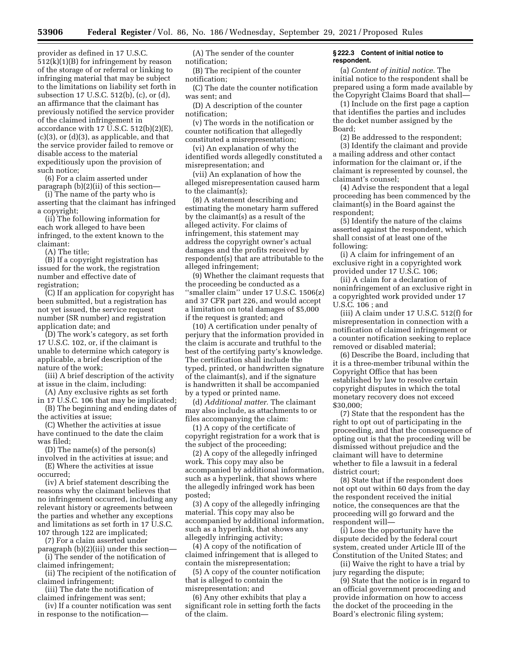provider as defined in 17 U.S.C. 512(k)(1)(B) for infringement by reason of the storage of or referral or linking to infringing material that may be subject to the limitations on liability set forth in subsection 17 U.S.C. 512(b), (c), or (d), an affirmance that the claimant has previously notified the service provider of the claimed infringement in accordance with  $17$  U.S.C.  $512(b)(2)(E)$ , (c)(3), or (d)(3), as applicable, and that the service provider failed to remove or disable access to the material expeditiously upon the provision of such notice;

(6) For a claim asserted under paragraph (b)(2)(ii) of this section—

(i) The name of the party who is asserting that the claimant has infringed a copyright;

(ii) The following information for each work alleged to have been infringed, to the extent known to the claimant:

(A) The title;

(B) If a copyright registration has issued for the work, the registration number and effective date of registration;

(C) If an application for copyright has been submitted, but a registration has not yet issued, the service request number (SR number) and registration application date; and

(D) The work's category, as set forth 17 U.S.C. 102, or, if the claimant is unable to determine which category is applicable, a brief description of the nature of the work;

(iii) A brief description of the activity at issue in the claim, including:

(A) Any exclusive rights as set forth in 17 U.S.C. 106 that may be implicated; (B) The beginning and ending dates of

the activities at issue; (C) Whether the activities at issue

have continued to the date the claim was filed;

(D) The name(s) of the person(s) involved in the activities at issue; and

(E) Where the activities at issue occurred;

(iv) A brief statement describing the reasons why the claimant believes that no infringement occurred, including any relevant history or agreements between the parties and whether any exceptions and limitations as set forth in 17 U.S.C. 107 through 122 are implicated;

(7) For a claim asserted under paragraph (b)(2)(iii) under this section—

(i) The sender of the notification of claimed infringement;

(ii) The recipient of the notification of claimed infringement;

(iii) The date the notification of claimed infringement was sent;

(iv) If a counter notification was sent in response to the notification—

(A) The sender of the counter notification;

(B) The recipient of the counter notification;

(C) The date the counter notification was sent; and

(D) A description of the counter notification;

(v) The words in the notification or counter notification that allegedly constituted a misrepresentation;

(vi) An explanation of why the identified words allegedly constituted a misrepresentation; and

(vii) An explanation of how the alleged misrepresentation caused harm to the claimant(s);

(8) A statement describing and estimating the monetary harm suffered by the claimant(s) as a result of the alleged activity. For claims of infringement, this statement may address the copyright owner's actual damages and the profits received by respondent(s) that are attributable to the alleged infringement;

(9) Whether the claimant requests that the proceeding be conducted as a ''smaller claim'' under 17 U.S.C. 1506(z) and 37 CFR part 226, and would accept a limitation on total damages of \$5,000 if the request is granted; and

(10) A certification under penalty of perjury that the information provided in the claim is accurate and truthful to the best of the certifying party's knowledge. The certification shall include the typed, printed, or handwritten signature of the claimant(s), and if the signature is handwritten it shall be accompanied by a typed or printed name.

(d) *Additional matter.* The claimant may also include, as attachments to or files accompanying the claim:

(1) A copy of the certificate of copyright registration for a work that is the subject of the proceeding;

(2) A copy of the allegedly infringed work. This copy may also be accompanied by additional information, such as a hyperlink, that shows where the allegedly infringed work has been posted;

(3) A copy of the allegedly infringing material. This copy may also be accompanied by additional information, such as a hyperlink, that shows any allegedly infringing activity;

(4) A copy of the notification of claimed infringement that is alleged to contain the misrepresentation;

(5) A copy of the counter notification that is alleged to contain the misrepresentation; and

(6) Any other exhibits that play a significant role in setting forth the facts of the claim.

### **§ 222.3 Content of initial notice to respondent.**

(a) *Content of initial notice.* The initial notice to the respondent shall be prepared using a form made available by the Copyright Claims Board that shall—

(1) Include on the first page a caption that identifies the parties and includes the docket number assigned by the Board;

(2) Be addressed to the respondent;

(3) Identify the claimant and provide a mailing address and other contact information for the claimant or, if the claimant is represented by counsel, the claimant's counsel;

(4) Advise the respondent that a legal proceeding has been commenced by the claimant(s) in the Board against the respondent;

(5) Identify the nature of the claims asserted against the respondent, which shall consist of at least one of the following:

(i) A claim for infringement of an exclusive right in a copyrighted work provided under 17 U.S.C. 106;

(ii) A claim for a declaration of noninfringement of an exclusive right in a copyrighted work provided under 17 U.S.C. 106 ; and

(iii) A claim under 17 U.S.C. 512(f) for misrepresentation in connection with a notification of claimed infringement or a counter notification seeking to replace removed or disabled material;

(6) Describe the Board, including that it is a three-member tribunal within the Copyright Office that has been established by law to resolve certain copyright disputes in which the total monetary recovery does not exceed \$30,000;

(7) State that the respondent has the right to opt out of participating in the proceeding, and that the consequence of opting out is that the proceeding will be dismissed without prejudice and the claimant will have to determine whether to file a lawsuit in a federal district court;

(8) State that if the respondent does not opt out within 60 days from the day the respondent received the initial notice, the consequences are that the proceeding will go forward and the respondent will—

(i) Lose the opportunity have the dispute decided by the federal court system, created under Article III of the Constitution of the United States; and

(ii) Waive the right to have a trial by jury regarding the dispute;

(9) State that the notice is in regard to an official government proceeding and provide information on how to access the docket of the proceeding in the Board's electronic filing system;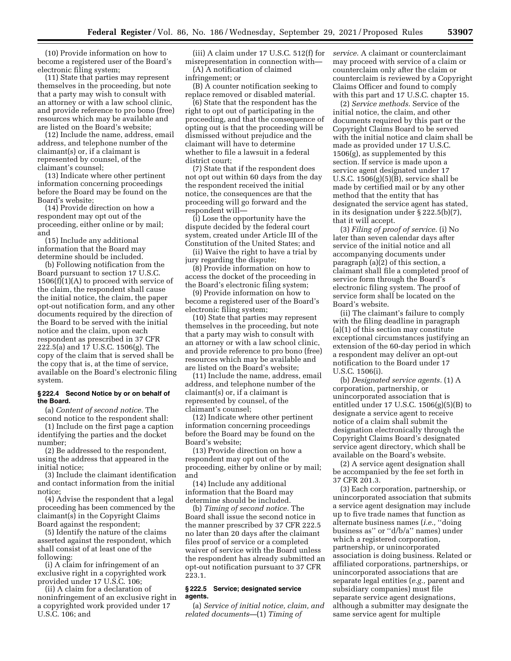(10) Provide information on how to become a registered user of the Board's electronic filing system;

(11) State that parties may represent themselves in the proceeding, but note that a party may wish to consult with an attorney or with a law school clinic, and provide reference to pro bono (free) resources which may be available and are listed on the Board's website;

(12) Include the name, address, email address, and telephone number of the claimant(s) or, if a claimant is represented by counsel, of the claimant's counsel;

(13) Indicate where other pertinent information concerning proceedings before the Board may be found on the Board's website;

(14) Provide direction on how a respondent may opt out of the proceeding, either online or by mail; and

(15) Include any additional information that the Board may determine should be included.

(b) Following notification from the Board pursuant to section 17 U.S.C.  $1506(f)(1)(A)$  to proceed with service of the claim, the respondent shall cause the initial notice, the claim, the paper opt-out notification form, and any other documents required by the direction of the Board to be served with the initial notice and the claim, upon each respondent as prescribed in 37 CFR 222.5(a) and 17 U.S.C. 1506(g). The copy of the claim that is served shall be the copy that is, at the time of service, available on the Board's electronic filing system.

#### **§ 222.4 Second Notice by or on behalf of the Board.**

(a) *Content of second notice.* The second notice to the respondent shall:

(1) Include on the first page a caption identifying the parties and the docket number;

(2) Be addressed to the respondent, using the address that appeared in the initial notice;

(3) Include the claimant identification and contact information from the initial notice;

(4) Advise the respondent that a legal proceeding has been commenced by the claimant(s) in the Copyright Claims Board against the respondent;

(5) Identify the nature of the claims asserted against the respondent, which shall consist of at least one of the following:

(i) A claim for infringement of an exclusive right in a copyrighted work provided under 17 U.S.C. 106;

(ii) A claim for a declaration of noninfringement of an exclusive right in a copyrighted work provided under 17 U.S.C. 106; and

(iii) A claim under 17 U.S.C. 512(f) for misrepresentation in connection with— (A) A notification of claimed

infringement; or

(B) A counter notification seeking to replace removed or disabled material.

(6) State that the respondent has the right to opt out of participating in the proceeding, and that the consequence of opting out is that the proceeding will be dismissed without prejudice and the claimant will have to determine whether to file a lawsuit in a federal district court;

(7) State that if the respondent does not opt out within 60 days from the day the respondent received the initial notice, the consequences are that the proceeding will go forward and the respondent will—

(i) Lose the opportunity have the dispute decided by the federal court system, created under Article III of the Constitution of the United States; and

(ii) Waive the right to have a trial by jury regarding the dispute;

(8) Provide information on how to access the docket of the proceeding in the Board's electronic filing system;

(9) Provide information on how to become a registered user of the Board's electronic filing system;

(10) State that parties may represent themselves in the proceeding, but note that a party may wish to consult with an attorney or with a law school clinic, and provide reference to pro bono (free) resources which may be available and are listed on the Board's website;

(11) Include the name, address, email address, and telephone number of the claimant(s) or, if a claimant is represented by counsel, of the claimant's counsel;

(12) Indicate where other pertinent information concerning proceedings before the Board may be found on the Board's website;

(13) Provide direction on how a respondent may opt out of the proceeding, either by online or by mail; and

(14) Include any additional information that the Board may determine should be included.

(b) *Timing of second notice.* The Board shall issue the second notice in the manner prescribed by 37 CFR 222.5 no later than 20 days after the claimant files proof of service or a completed waiver of service with the Board unless the respondent has already submitted an opt-out notification pursuant to 37 CFR 223.1.

### **§ 222.5 Service; designated service agents.**

(a) *Service of initial notice, claim, and related documents—*(1) *Timing of* 

*service.* A claimant or counterclaimant may proceed with service of a claim or counterclaim only after the claim or counterclaim is reviewed by a Copyright Claims Officer and found to comply with this part and 17 U.S.C. chapter 15.

(2) *Service methods.* Service of the initial notice, the claim, and other documents required by this part or the Copyright Claims Board to be served with the initial notice and claim shall be made as provided under 17 U.S.C. 1506(g), as supplemented by this section. If service is made upon a service agent designated under 17 U.S.C.  $1506(g)(5)(B)$ , service shall be made by certified mail or by any other method that the entity that has designated the service agent has stated, in its designation under § 222.5(b)(7), that it will accept.

(3) *Filing of proof of service.* (i) No later than seven calendar days after service of the initial notice and all accompanying documents under paragraph  $(a)(2)$  of this section, a claimant shall file a completed proof of service form through the Board's electronic filing system. The proof of service form shall be located on the Board's website.

(ii) The claimant's failure to comply with the filing deadline in paragraph (a)(1) of this section may constitute exceptional circumstances justifying an extension of the 60-day period in which a respondent may deliver an opt-out notification to the Board under 17 U.S.C. 1506(i).

(b) *Designated service agents.* (1) A corporation, partnership, or unincorporated association that is entitled under 17 U.S.C.  $1506(g)(5)(B)$  to designate a service agent to receive notice of a claim shall submit the designation electronically through the Copyright Claims Board's designated service agent directory, which shall be available on the Board's website.

(2) A service agent designation shall be accompanied by the fee set forth in 37 CFR 201.3.

(3) Each corporation, partnership, or unincorporated association that submits a service agent designation may include up to five trade names that function as alternate business names (*i.e.,* ''doing business as'' or ''d/b/a'' names) under which a registered corporation, partnership, or unincorporated association is doing business. Related or affiliated corporations, partnerships, or unincorporated associations that are separate legal entities (*e.g.,* parent and subsidiary companies) must file separate service agent designations, although a submitter may designate the same service agent for multiple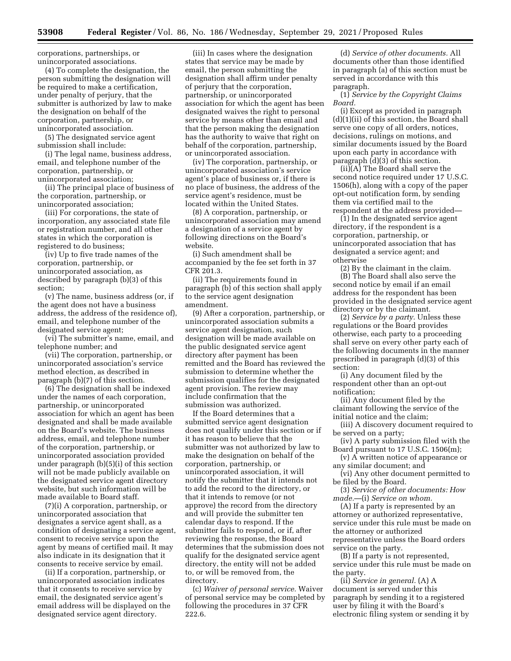corporations, partnerships, or unincorporated associations.

(4) To complete the designation, the person submitting the designation will be required to make a certification, under penalty of perjury, that the submitter is authorized by law to make the designation on behalf of the corporation, partnership, or unincorporated association.

(5) The designated service agent submission shall include:

(i) The legal name, business address, email, and telephone number of the corporation, partnership, or unincorporated association;

(ii) The principal place of business of the corporation, partnership, or unincorporated association;

(iii) For corporations, the state of incorporation, any associated state file or registration number, and all other states in which the corporation is registered to do business;

(iv) Up to five trade names of the corporation, partnership, or unincorporated association, as described by paragraph (b)(3) of this section;

(v) The name, business address (or, if the agent does not have a business address, the address of the residence of), email, and telephone number of the designated service agent;

(vi) The submitter's name, email, and telephone number; and

(vii) The corporation, partnership, or unincorporated association's service method election, as described in paragraph (b)(7) of this section.

(6) The designation shall be indexed under the names of each corporation, partnership, or unincorporated association for which an agent has been designated and shall be made available on the Board's website. The business address, email, and telephone number of the corporation, partnership, or unincorporated association provided under paragraph (b)(5)(i) of this section will not be made publicly available on the designated service agent directory website, but such information will be made available to Board staff.

(7)(i) A corporation, partnership, or unincorporated association that designates a service agent shall, as a condition of designating a service agent, consent to receive service upon the agent by means of certified mail. It may also indicate in its designation that it consents to receive service by email.

(ii) If a corporation, partnership, or unincorporated association indicates that it consents to receive service by email, the designated service agent's email address will be displayed on the designated service agent directory.

(iii) In cases where the designation states that service may be made by email, the person submitting the designation shall affirm under penalty of perjury that the corporation, partnership, or unincorporated association for which the agent has been designated waives the right to personal service by means other than email and that the person making the designation has the authority to waive that right on behalf of the corporation, partnership, or unincorporated association.

(iv) The corporation, partnership, or unincorporated association's service agent's place of business or, if there is no place of business, the address of the service agent's residence, must be located within the United States.

(8) A corporation, partnership, or unincorporated association may amend a designation of a service agent by following directions on the Board's website.

(i) Such amendment shall be accompanied by the fee set forth in 37 CFR 201.3.

(ii) The requirements found in paragraph (b) of this section shall apply to the service agent designation amendment.

(9) After a corporation, partnership, or unincorporated association submits a service agent designation, such designation will be made available on the public designated service agent directory after payment has been remitted and the Board has reviewed the submission to determine whether the submission qualifies for the designated agent provision. The review may include confirmation that the submission was authorized.

If the Board determines that a submitted service agent designation does not qualify under this section or if it has reason to believe that the submitter was not authorized by law to make the designation on behalf of the corporation, partnership, or unincorporated association, it will notify the submitter that it intends not to add the record to the directory, or that it intends to remove (or not approve) the record from the directory and will provide the submitter ten calendar days to respond. If the submitter fails to respond, or if, after reviewing the response, the Board determines that the submission does not qualify for the designated service agent directory, the entity will not be added to, or will be removed from, the directory.

(c) *Waiver of personal service.* Waiver of personal service may be completed by following the procedures in 37 CFR 222.6.

(d) *Service of other documents.* All documents other than those identified in paragraph (a) of this section must be served in accordance with this paragraph.

(1) *Service by the Copyright Claims Board.* 

(i) Except as provided in paragraph (d)(1)(ii) of this section, the Board shall serve one copy of all orders, notices, decisions, rulings on motions, and similar documents issued by the Board upon each party in accordance with paragraph (d)(3) of this section.

(ii)(A) The Board shall serve the second notice required under 17 U.S.C. 1506(h), along with a copy of the paper opt-out notification form, by sending them via certified mail to the respondent at the address provided—

(1) In the designated service agent directory, if the respondent is a corporation, partnership, or unincorporated association that has designated a service agent; and otherwise

(2) By the claimant in the claim. (B) The Board shall also serve the second notice by email if an email address for the respondent has been provided in the designated service agent directory or by the claimant.

(2) *Service by a party.* Unless these regulations or the Board provides otherwise, each party to a proceeding shall serve on every other party each of the following documents in the manner prescribed in paragraph (d)(3) of this section:

(i) Any document filed by the respondent other than an opt-out notification;

(ii) Any document filed by the claimant following the service of the initial notice and the claim;

(iii) A discovery document required to be served on a party;

(iv) A party submission filed with the Board pursuant to 17 U.S.C. 1506(m);

(v) A written notice of appearance or any similar document; and

(vi) Any other document permitted to be filed by the Board.

(3) *Service of other documents: How made.*—(i) *Service on whom.* 

(A) If a party is represented by an attorney or authorized representative, service under this rule must be made on the attorney or authorized representative unless the Board orders service on the party.

(B) If a party is not represented, service under this rule must be made on the party.

(ii) *Service in general.* (A) A document is served under this paragraph by sending it to a registered user by filing it with the Board's electronic filing system or sending it by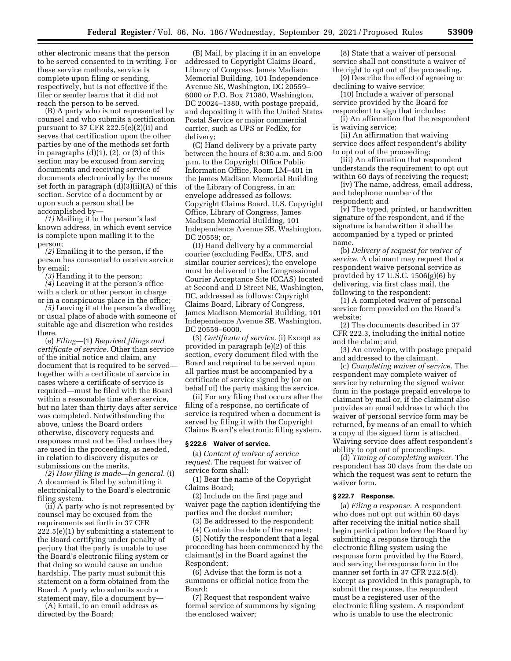other electronic means that the person to be served consented to in writing. For these service methods, service is complete upon filing or sending, respectively, but is not effective if the filer or sender learns that it did not reach the person to be served.

(B) A party who is not represented by counsel and who submits a certification pursuant to 37 CFR 222.5(e)(2)(ii) and serves that certification upon the other parties by one of the methods set forth in paragraphs (d)(1), (2), or (3) of this section may be excused from serving documents and receiving service of documents electronically by the means set forth in paragraph (d)(3)(ii)(A) of this section. Service of a document by or upon such a person shall be accomplished by—

*(1)* Mailing it to the person's last known address, in which event service is complete upon mailing it to the person;

*(2)* Emailing it to the person, if the person has consented to receive service by email;

*(3)* Handing it to the person; *(4)* Leaving it at the person's office with a clerk or other person in charge or in a conspicuous place in the office;

*(5)* Leaving it at the person's dwelling or usual place of abode with someone of suitable age and discretion who resides there.

(e) *Filing—*(1) *Required filings and certificate of service.* Other than service of the initial notice and claim, any document that is required to be served together with a certificate of service in cases where a certificate of service is required—must be filed with the Board within a reasonable time after service, but no later than thirty days after service was completed. Notwithstanding the above, unless the Board orders otherwise, discovery requests and responses must not be filed unless they are used in the proceeding, as needed, in relation to discovery disputes or submissions on the merits.

*(2) How filing is made—in general.* (i) A document is filed by submitting it electronically to the Board's electronic filing system.

(ii) A party who is not represented by counsel may be excused from the requirements set forth in 37 CFR  $222.5(e)(1)$  by submitting a statement to the Board certifying under penalty of perjury that the party is unable to use the Board's electronic filing system or that doing so would cause an undue hardship. The party must submit this statement on a form obtained from the Board. A party who submits such a statement may, file a document by—

(A) Email, to an email address as directed by the Board;

(B) Mail, by placing it in an envelope addressed to Copyright Claims Board, Library of Congress, James Madison Memorial Building, 101 Independence Avenue SE, Washington, DC 20559– 6000 or P.O. Box 71380, Washington, DC 20024–1380, with postage prepaid, and depositing it with the United States Postal Service or major commercial carrier, such as UPS or FedEx, for delivery;

(C) Hand delivery by a private party between the hours of 8:30 a.m. and 5:00 p.m. to the Copyright Office Public Information Office, Room LM–401 in the James Madison Memorial Building of the Library of Congress, in an envelope addressed as follows: Copyright Claims Board, U.S. Copyright Office, Library of Congress, James Madison Memorial Building, 101 Independence Avenue SE, Washington, DC 20559; or,

(D) Hand delivery by a commercial courier (excluding FedEx, UPS, and similar courier services); the envelope must be delivered to the Congressional Courier Acceptance Site (CCAS) located at Second and D Street NE, Washington, DC, addressed as follows: Copyright Claims Board, Library of Congress, James Madison Memorial Building, 101 Independence Avenue SE, Washington, DC 20559–6000.

(3) *Certificate of service.* (i) Except as provided in paragraph (e)(2) of this section, every document filed with the Board and required to be served upon all parties must be accompanied by a certificate of service signed by (or on behalf of) the party making the service.

(ii) For any filing that occurs after the filing of a response, no certificate of service is required when a document is served by filing it with the Copyright Claims Board's electronic filing system.

# **§ 222.6 Waiver of service.**

(a) *Content of waiver of service request.* The request for waiver of service form shall:

(1) Bear the name of the Copyright Claims Board;

(2) Include on the first page and waiver page the caption identifying the parties and the docket number;

(3) Be addressed to the respondent;

(4) Contain the date of the request;

(5) Notify the respondent that a legal proceeding has been commenced by the claimant(s) in the Board against the Respondent;

(6) Advise that the form is not a summons or official notice from the Board;

(7) Request that respondent waive formal service of summons by signing the enclosed waiver;

(8) State that a waiver of personal service shall not constitute a waiver of the right to opt out of the proceeding.

(9) Describe the effect of agreeing or declining to waive service;

(10) Include a waiver of personal service provided by the Board for respondent to sign that includes:

(i) An affirmation that the respondent is waiving service;

(ii) An affirmation that waiving service does affect respondent's ability to opt out of the proceeding;

(iii) An affirmation that respondent understands the requirement to opt out within 60 days of receiving the request;

(iv) The name, address, email address, and telephone number of the respondent; and

 $\overline{v}$ ) The typed, printed, or handwritten signature of the respondent, and if the signature is handwritten it shall be accompanied by a typed or printed name.

(b) *Delivery of request for waiver of service.* A claimant may request that a respondent waive personal service as provided by 17 U.S.C. 1506(g)(6) by delivering, via first class mail, the following to the respondent:

(1) A completed waiver of personal service form provided on the Board's website;

(2) The documents described in 37 CFR 222.3, including the initial notice and the claim; and

(3) An envelope, with postage prepaid and addressed to the claimant.

(c) *Completing waiver of service.* The respondent may complete waiver of service by returning the signed waiver form in the postage prepaid envelope to claimant by mail or, if the claimant also provides an email address to which the waiver of personal service form may be returned, by means of an email to which a copy of the signed form is attached. Waiving service does affect respondent's ability to opt out of proceedings.

(d) *Timing of completing waiver.* The respondent has 30 days from the date on which the request was sent to return the waiver form.

### **§ 222.7 Response.**

(a) *Filing a response.* A respondent who does not opt out within 60 days after receiving the initial notice shall begin participation before the Board by submitting a response through the electronic filing system using the response form provided by the Board, and serving the response form in the manner set forth in 37 CFR 222.5(d). Except as provided in this paragraph, to submit the response, the respondent must be a registered user of the electronic filing system. A respondent who is unable to use the electronic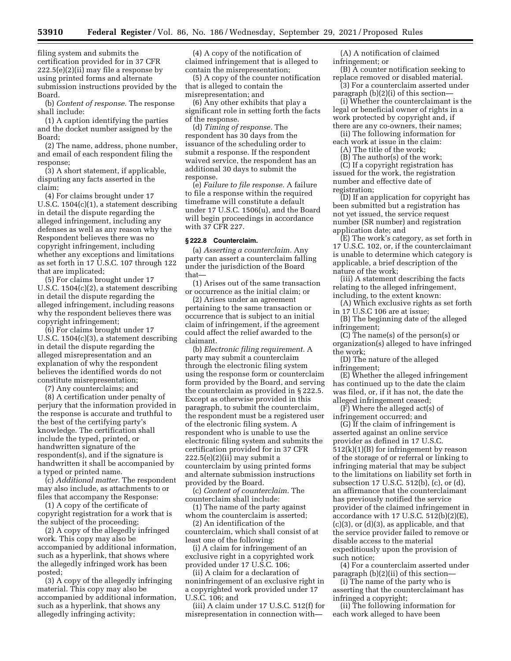filing system and submits the certification provided for in 37 CFR  $222.5(e)(2)(ii)$  may file a response by using printed forms and alternate submission instructions provided by the Board.

(b) *Content of response.* The response shall include:

(1) A caption identifying the parties and the docket number assigned by the Board;

(2) The name, address, phone number, and email of each respondent filing the response;

(3) A short statement, if applicable, disputing any facts asserted in the claim;

(4) For claims brought under 17 U.S.C. 1504(c)(1), a statement describing in detail the dispute regarding the alleged infringement, including any defenses as well as any reason why the Respondent believes there was no copyright infringement, including whether any exceptions and limitations as set forth in 17 U.S.C. 107 through 122 that are implicated;

(5) For claims brought under 17 U.S.C. 1504(c)(2), a statement describing in detail the dispute regarding the alleged infringement, including reasons why the respondent believes there was copyright infringement;

(6) For claims brought under 17 U.S.C. 1504(c)(3), a statement describing in detail the dispute regarding the alleged misrepresentation and an explanation of why the respondent believes the identified words do not constitute misrepresentation;

(7) Any counterclaims; and

(8) A certification under penalty of perjury that the information provided in the response is accurate and truthful to the best of the certifying party's knowledge. The certification shall include the typed, printed, or handwritten signature of the respondent(s), and if the signature is handwritten it shall be accompanied by a typed or printed name.

(c) *Additional matter.* The respondent may also include, as attachments to or files that accompany the Response:

(1) A copy of the certificate of copyright registration for a work that is the subject of the proceeding;

(2) A copy of the allegedly infringed work. This copy may also be accompanied by additional information, such as a hyperlink, that shows where the allegedly infringed work has been posted;

(3) A copy of the allegedly infringing material. This copy may also be accompanied by additional information, such as a hyperlink, that shows any allegedly infringing activity;

(4) A copy of the notification of claimed infringement that is alleged to contain the misrepresentation;

(5) A copy of the counter notification that is alleged to contain the misrepresentation; and

(6) Any other exhibits that play a significant role in setting forth the facts of the response.

(d) *Timing of response.* The respondent has 30 days from the issuance of the scheduling order to submit a response. If the respondent waived service, the respondent has an additional 30 days to submit the response.

(e) *Failure to file response.* A failure to file a response within the required timeframe will constitute a default under 17 U.S.C. 1506(u), and the Board will begin proceedings in accordance with 37 CFR 227.

### **§ 222.8 Counterclaim.**

(a) *Asserting a counterclaim.* Any party can assert a counterclaim falling under the jurisdiction of the Board that—

(1) Arises out of the same transaction or occurrence as the initial claim; or

(2) Arises under an agreement pertaining to the same transaction or occurrence that is subject to an initial claim of infringement, if the agreement could affect the relief awarded to the claimant.

(b) *Electronic filing requirement.* A party may submit a counterclaim through the electronic filing system using the response form or counterclaim form provided by the Board, and serving the counterclaim as provided in § 222.5. Except as otherwise provided in this paragraph, to submit the counterclaim, the respondent must be a registered user of the electronic filing system. A respondent who is unable to use the electronic filing system and submits the certification provided for in 37 CFR  $222.5(e)(2)(ii)$  may submit a counterclaim by using printed forms and alternate submission instructions provided by the Board.

(c) *Content of counterclaim.* The counterclaim shall include:

(1) The name of the party against whom the counterclaim is asserted;

(2) An identification of the counterclaim, which shall consist of at least one of the following:

(i) A claim for infringement of an exclusive right in a copyrighted work provided under 17 U.S.C. 106;

(ii) A claim for a declaration of noninfringement of an exclusive right in a copyrighted work provided under 17 U.S.C. 106; and

(iii) A claim under 17 U.S.C. 512(f) for misrepresentation in connection with—

(A) A notification of claimed infringement; or

(B) A counter notification seeking to replace removed or disabled material.

(3) For a counterclaim asserted under paragraph (b)(2)(i) of this section—

(i) Whether the counterclaimant is the legal or beneficial owner of rights in a work protected by copyright and, if there are any co-owners, their names;

(ii) The following information for each work at issue in the claim:

(A) The title of the work;

(B) The author(s) of the work;

(C) If a copyright registration has issued for the work, the registration number and effective date of registration;

(D) If an application for copyright has been submitted but a registration has not yet issued, the service request number (SR number) and registration application date; and

(E) The work's category, as set forth in 17 U.S.C. 102, or, if the counterclaimant is unable to determine which category is applicable, a brief description of the nature of the work;

(iii) A statement describing the facts relating to the alleged infringement, including, to the extent known:

(A) Which exclusive rights as set forth in 17 U.S.C 106 are at issue;

(B) The beginning date of the alleged infringement;

(C) The name(s) of the person(s) or organization(s) alleged to have infringed the work;

(D) The nature of the alleged infringement;

(E) Whether the alleged infringement has continued up to the date the claim was filed, or, if it has not, the date the alleged infringement ceased;

(F) Where the alleged act(s) of infringement occurred; and

(G) If the claim of infringement is asserted against an online service provider as defined in 17 U.S.C. 512(k)(1)(B) for infringement by reason of the storage of or referral or linking to infringing material that may be subject to the limitations on liability set forth in subsection 17 U.S.C. 512(b), (c), or (d), an affirmance that the counterclaimant has previously notified the service provider of the claimed infringement in accordance with 17 U.S.C. 512(b)(2)(E),  $(c)(3)$ , or  $(d)(3)$ , as applicable, and that the service provider failed to remove or disable access to the material expeditiously upon the provision of such notice;

(4) For a counterclaim asserted under paragraph (b)(2)(ii) of this section—

(i) The name of the party who is asserting that the counterclaimant has infringed a copyright;

(ii) The following information for each work alleged to have been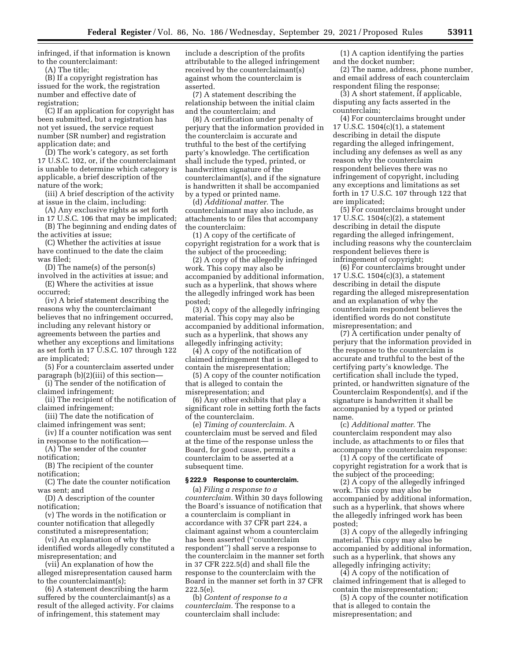infringed, if that information is known to the counterclaimant:

(A) The title;

(B) If a copyright registration has issued for the work, the registration number and effective date of registration;

(C) If an application for copyright has been submitted, but a registration has not yet issued, the service request number (SR number) and registration application date; and

(D) The work's category, as set forth 17 U.S.C. 102, or, if the counterclaimant is unable to determine which category is applicable, a brief description of the nature of the work;

(iii) A brief description of the activity at issue in the claim, including:

(A) Any exclusive rights as set forth in 17 U.S.C. 106 that may be implicated;

(B) The beginning and ending dates of the activities at issue;

(C) Whether the activities at issue have continued to the date the claim was filed;

(D) The name(s) of the person(s) involved in the activities at issue; and

(E) Where the activities at issue occurred;

(iv) A brief statement describing the reasons why the counterclaimant believes that no infringement occurred, including any relevant history or agreements between the parties and whether any exceptions and limitations as set forth in 17 U.S.C. 107 through 122 are implicated;

(5) For a counterclaim asserted under paragraph (b)(2)(iii) of this section—

(i) The sender of the notification of claimed infringement;

(ii) The recipient of the notification of claimed infringement;

(iii) The date the notification of claimed infringement was sent;

(iv) If a counter notification was sent in response to the notification—

(A) The sender of the counter notification;

(B) The recipient of the counter notification;

(C) The date the counter notification was sent; and

(D) A description of the counter notification;

(v) The words in the notification or counter notification that allegedly constituted a misrepresentation;

(vi) An explanation of why the identified words allegedly constituted a misrepresentation; and

(vii) An explanation of how the alleged misrepresentation caused harm to the counterclaimant(s);

(6) A statement describing the harm suffered by the counterclaimant(s) as a result of the alleged activity. For claims of infringement, this statement may

include a description of the profits attributable to the alleged infringement received by the counterclaimant(s) against whom the counterclaim is asserted.

(7) A statement describing the relationship between the initial claim and the counterclaim; and

(8) A certification under penalty of perjury that the information provided in the counterclaim is accurate and truthful to the best of the certifying party's knowledge. The certification shall include the typed, printed, or handwritten signature of the counterclaimant(s), and if the signature is handwritten it shall be accompanied by a typed or printed name.

(d) *Additional matter.* The counterclaimant may also include, as attachments to or files that accompany the counterclaim:

(1) A copy of the certificate of copyright registration for a work that is the subject of the proceeding;

(2) A copy of the allegedly infringed work. This copy may also be accompanied by additional information, such as a hyperlink, that shows where the allegedly infringed work has been posted;

(3) A copy of the allegedly infringing material. This copy may also be accompanied by additional information, such as a hyperlink, that shows any allegedly infringing activity;

(4) A copy of the notification of claimed infringement that is alleged to contain the misrepresentation;

(5) A copy of the counter notification that is alleged to contain the misrepresentation; and

(6) Any other exhibits that play a significant role in setting forth the facts of the counterclaim.

(e) *Timing of counterclaim.* A counterclaim must be served and filed at the time of the response unless the Board, for good cause, permits a counterclaim to be asserted at a subsequent time.

### **§ 222.9 Response to counterclaim.**

(a) *Filing a response to a counterclaim.* Within 30 days following the Board's issuance of notification that a counterclaim is compliant in accordance with 37 CFR part 224, a claimant against whom a counterclaim has been asserted (''counterclaim respondent'') shall serve a response to the counterclaim in the manner set forth in 37 CFR 222.5(d) and shall file the response to the counterclaim with the Board in the manner set forth in 37 CFR 222.5(e).

(b) *Content of response to a counterclaim.* The response to a counterclaim shall include:

(1) A caption identifying the parties and the docket number;

(2) The name, address, phone number, and email address of each counterclaim respondent filing the response;

(3) A short statement, if applicable, disputing any facts asserted in the counterclaim;

(4) For counterclaims brought under 17 U.S.C. 1504(c)(1), a statement describing in detail the dispute regarding the alleged infringement, including any defenses as well as any reason why the counterclaim respondent believes there was no infringement of copyright, including any exceptions and limitations as set forth in 17 U.S.C. 107 through 122 that are implicated;

(5) For counterclaims brought under 17 U.S.C. 1504(c)(2), a statement describing in detail the dispute regarding the alleged infringement, including reasons why the counterclaim respondent believes there is infringement of copyright;

(6) For counterclaims brought under 17 U.S.C. 1504(c)(3), a statement describing in detail the dispute regarding the alleged misrepresentation and an explanation of why the counterclaim respondent believes the identified words do not constitute misrepresentation; and

(7) A certification under penalty of perjury that the information provided in the response to the counterclaim is accurate and truthful to the best of the certifying party's knowledge. The certification shall include the typed, printed, or handwritten signature of the Counterclaim Respondent(s), and if the signature is handwritten it shall be accompanied by a typed or printed name.

(c) *Additional matter.* The counterclaim respondent may also include, as attachments to or files that accompany the counterclaim response:

(1) A copy of the certificate of copyright registration for a work that is the subject of the proceeding;

(2) A copy of the allegedly infringed work. This copy may also be accompanied by additional information, such as a hyperlink, that shows where the allegedly infringed work has been posted;

(3) A copy of the allegedly infringing material. This copy may also be accompanied by additional information, such as a hyperlink, that shows any allegedly infringing activity;

(4) A copy of the notification of claimed infringement that is alleged to contain the misrepresentation;

(5) A copy of the counter notification that is alleged to contain the misrepresentation; and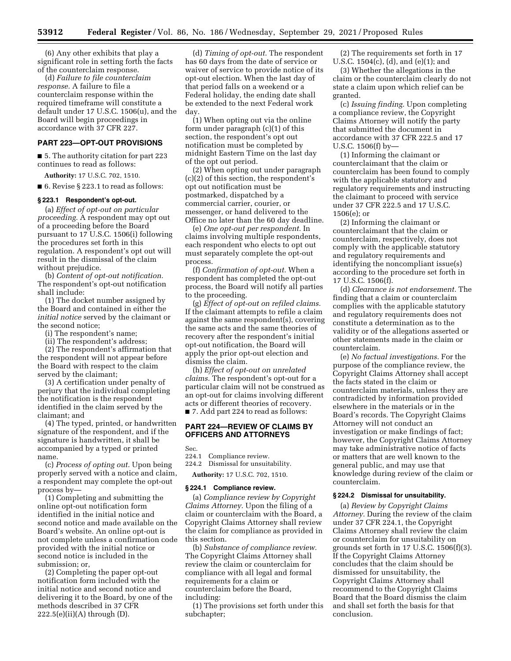(6) Any other exhibits that play a significant role in setting forth the facts of the counterclaim response.

(d) *Failure to file counterclaim response.* A failure to file a counterclaim response within the required timeframe will constitute a default under 17 U.S.C. 1506(u), and the Board will begin proceedings in accordance with 37 CFR 227.

### **PART 223—OPT-OUT PROVISIONS**

■ 5. The authority citation for part 223 continues to read as follows:

**Authority:** 17 U.S.C. 702, 1510.

■ 6. Revise § 223.1 to read as follows:

#### **§ 223.1 Respondent's opt-out.**

(a) *Effect of opt-out on particular proceeding.* A respondent may opt out of a proceeding before the Board pursuant to 17 U.S.C. 1506(i) following the procedures set forth in this regulation. A respondent's opt out will result in the dismissal of the claim without prejudice.

(b) *Content of opt-out notification.*  The respondent's opt-out notification shall include:

(1) The docket number assigned by the Board and contained in either the *initial notice* served by the claimant or the second notice;

(i) The respondent's name;

(ii) The respondent's address;

(2) The respondent's affirmation that the respondent will not appear before the Board with respect to the claim served by the claimant;

(3) A certification under penalty of perjury that the individual completing the notification is the respondent identified in the claim served by the claimant; and

(4) The typed, printed, or handwritten signature of the respondent, and if the signature is handwritten, it shall be accompanied by a typed or printed name.

(c) *Process of opting out.* Upon being properly served with a notice and claim, a respondent may complete the opt-out process by—

(1) Completing and submitting the online opt-out notification form identified in the initial notice and second notice and made available on the Board's website. An online opt-out is not complete unless a confirmation code provided with the initial notice or second notice is included in the submission; or,

(2) Completing the paper opt-out notification form included with the initial notice and second notice and delivering it to the Board, by one of the methods described in 37 CFR  $222.5(e)(ii)(A)$  through  $(D)$ .

(d) *Timing of opt-out.* The respondent has 60 days from the date of service or waiver of service to provide notice of its opt-out election. When the last day of that period falls on a weekend or a Federal holiday, the ending date shall be extended to the next Federal work day.

(1) When opting out via the online form under paragraph (c)(1) of this section, the respondent's opt out notification must be completed by midnight Eastern Time on the last day of the opt out period.

(2) When opting out under paragraph (c)(2) of this section, the respondent's opt out notification must be postmarked, dispatched by a commercial carrier, courier, or messenger, or hand delivered to the Office no later than the 60 day deadline.

(e) *One opt-out per respondent.* In claims involving multiple respondents, each respondent who elects to opt out must separately complete the opt-out process.

(f) *Confirmation of opt-out.* When a respondent has completed the opt-out process, the Board will notify all parties to the proceeding.

(g) *Effect of opt-out on refiled claims.*  If the claimant attempts to refile a claim against the same respondent(s), covering the same acts and the same theories of recovery after the respondent's initial opt-out notification, the Board will apply the prior opt-out election and dismiss the claim.

(h) *Effect of opt-out on unrelated claims.* The respondent's opt-out for a particular claim will not be construed as an opt-out for claims involving different acts or different theories of recovery. ■ 7. Add part 224 to read as follows:

# **PART 224—REVIEW OF CLAIMS BY OFFICERS AND ATTORNEYS**

Sec.<br>224.1

Compliance review.

224.2 Dismissal for unsuitability.

**Authority:** 17 U.S.C. 702, 1510.

#### **§ 224.1 Compliance review.**

(a) *Compliance review by Copyright Claims Attorney.* Upon the filing of a claim or counterclaim with the Board, a Copyright Claims Attorney shall review the claim for compliance as provided in this section.

(b) *Substance of compliance review.*  The Copyright Claims Attorney shall review the claim or counterclaim for compliance with all legal and formal requirements for a claim or counterclaim before the Board, including:

(1) The provisions set forth under this subchapter;

(2) The requirements set forth in 17 U.S.C. 1504(c), (d), and (e)(1); and

(3) Whether the allegations in the claim or the counterclaim clearly do not state a claim upon which relief can be granted.

(c) *Issuing finding.* Upon completing a compliance review, the Copyright Claims Attorney will notify the party that submitted the document in accordance with 37 CFR 222.5 and 17 U.S.C. 1506(f) by—

(1) Informing the claimant or counterclaimant that the claim or counterclaim has been found to comply with the applicable statutory and regulatory requirements and instructing the claimant to proceed with service under 37 CFR 222.5 and 17 U.S.C. 1506(e); or

(2) Informing the claimant or counterclaimant that the claim or counterclaim, respectively, does not comply with the applicable statutory and regulatory requirements and identifying the noncompliant issue(s) according to the procedure set forth in 17 U.S.C. 1506(f).

(d) *Clearance is not endorsement.* The finding that a claim or counterclaim complies with the applicable statutory and regulatory requirements does not constitute a determination as to the validity or of the allegations asserted or other statements made in the claim or counterclaim.

(e) *No factual investigations.* For the purpose of the compliance review, the Copyright Claims Attorney shall accept the facts stated in the claim or counterclaim materials, unless they are contradicted by information provided elsewhere in the materials or in the Board's records. The Copyright Claims Attorney will not conduct an investigation or make findings of fact; however, the Copyright Claims Attorney may take administrative notice of facts or matters that are well known to the general public, and may use that knowledge during review of the claim or counterclaim.

# **§ 224.2 Dismissal for unsuitability.**

(a) *Review by Copyright Claims Attorney.* During the review of the claim under 37 CFR 224.1, the Copyright Claims Attorney shall review the claim or counterclaim for unsuitability on grounds set forth in 17 U.S.C. 1506(f)(3). If the Copyright Claims Attorney concludes that the claim should be dismissed for unsuitability, the Copyright Claims Attorney shall recommend to the Copyright Claims Board that the Board dismiss the claim and shall set forth the basis for that conclusion.